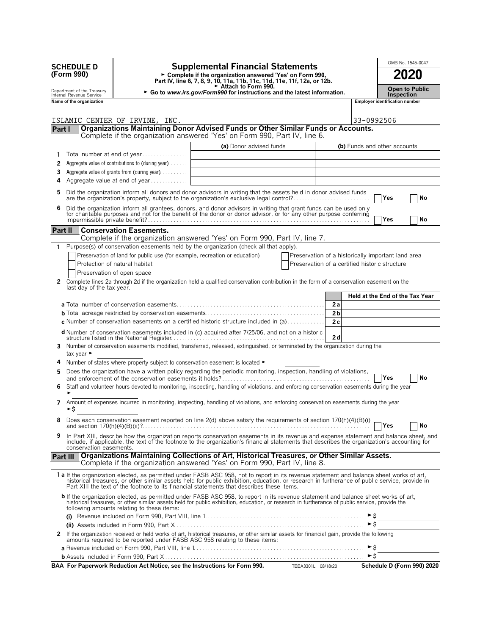|                 | <b>SCHEDULE D</b><br>(Form 990)<br>Department of the Treasury<br>Internal Revenue Service |                                                                               | <b>Supplemental Financial Statements</b><br>► Complete if the organization answered 'Yes' on Form 990,<br>Part IV, line 6, 7, 8, 9, 10, 11a, 11b, 11c, 11d, 11e, 11f, 12a, or 12b.<br>Attach to Form 990.<br>► Go to www.irs.gov/Form990 for instructions and the latest information.                                                                                                  |                                                    |                |                     | Inspection                            | OMB No. 1545-0047<br>2020<br>Open to Public |
|-----------------|-------------------------------------------------------------------------------------------|-------------------------------------------------------------------------------|----------------------------------------------------------------------------------------------------------------------------------------------------------------------------------------------------------------------------------------------------------------------------------------------------------------------------------------------------------------------------------------|----------------------------------------------------|----------------|---------------------|---------------------------------------|---------------------------------------------|
|                 | Name of the organization                                                                  |                                                                               |                                                                                                                                                                                                                                                                                                                                                                                        |                                                    |                |                     | <b>Employer identification number</b> |                                             |
|                 |                                                                                           | ISLAMIC CENTER OF IRVINE, INC.                                                |                                                                                                                                                                                                                                                                                                                                                                                        |                                                    |                | 33-0992506          |                                       |                                             |
| Part I          |                                                                                           |                                                                               | Organizations Maintaining Donor Advised Funds or Other Similar Funds or Accounts.<br>Complete if the organization answered 'Yes' on Form 990, Part IV, line 6.                                                                                                                                                                                                                         |                                                    |                |                     |                                       |                                             |
|                 |                                                                                           |                                                                               | (a) Donor advised funds                                                                                                                                                                                                                                                                                                                                                                |                                                    |                |                     |                                       |                                             |
| 1.              |                                                                                           | Total number at end of year                                                   |                                                                                                                                                                                                                                                                                                                                                                                        |                                                    |                |                     | (b) Funds and other accounts          |                                             |
| 2               |                                                                                           | Aggregate value of contributions to (during year)                             |                                                                                                                                                                                                                                                                                                                                                                                        |                                                    |                |                     |                                       |                                             |
| 3               |                                                                                           | Aggregate value of grants from (during year)                                  |                                                                                                                                                                                                                                                                                                                                                                                        |                                                    |                |                     |                                       |                                             |
| 4               |                                                                                           | Aggregate value at end of year                                                |                                                                                                                                                                                                                                                                                                                                                                                        |                                                    |                |                     |                                       |                                             |
| 5               |                                                                                           |                                                                               | Did the organization inform all donors and donor advisors in writing that the assets held in donor advised funds<br>are the organization's property, subject to the organization's exclusive legal control?                                                                                                                                                                            |                                                    |                |                     | Yes                                   | No                                          |
| 6               |                                                                                           |                                                                               | Did the organization inform all grantees, donors, and donor advisors in writing that grant funds can be used only                                                                                                                                                                                                                                                                      |                                                    |                |                     |                                       |                                             |
|                 |                                                                                           |                                                                               | for charitable purposes and not for the benefit of the donor or donor advisor, or for any other purpose conferring                                                                                                                                                                                                                                                                     |                                                    |                |                     | Yes                                   | No                                          |
| Part II         |                                                                                           | <b>Conservation Easements.</b>                                                |                                                                                                                                                                                                                                                                                                                                                                                        |                                                    |                |                     |                                       |                                             |
|                 |                                                                                           |                                                                               | Complete if the organization answered 'Yes' on Form 990, Part IV, line 7.                                                                                                                                                                                                                                                                                                              |                                                    |                |                     |                                       |                                             |
| 1               |                                                                                           |                                                                               | Purpose(s) of conservation easements held by the organization (check all that apply).                                                                                                                                                                                                                                                                                                  |                                                    |                |                     |                                       |                                             |
|                 |                                                                                           | Preservation of land for public use (for example, recreation or education)    |                                                                                                                                                                                                                                                                                                                                                                                        | Preservation of a historically important land area |                |                     |                                       |                                             |
|                 |                                                                                           | Protection of natural habitat                                                 |                                                                                                                                                                                                                                                                                                                                                                                        | Preservation of a certified historic structure     |                |                     |                                       |                                             |
|                 |                                                                                           | Preservation of open space                                                    |                                                                                                                                                                                                                                                                                                                                                                                        |                                                    |                |                     |                                       |                                             |
| 2               | last day of the tax year.                                                                 |                                                                               | Complete lines 2a through 2d if the organization held a qualified conservation contribution in the form of a conservation easement on the                                                                                                                                                                                                                                              |                                                    |                |                     |                                       | Held at the End of the Tax Year             |
|                 |                                                                                           |                                                                               |                                                                                                                                                                                                                                                                                                                                                                                        |                                                    | 2a             |                     |                                       |                                             |
|                 |                                                                                           |                                                                               |                                                                                                                                                                                                                                                                                                                                                                                        |                                                    | 2 <sub>b</sub> |                     |                                       |                                             |
|                 |                                                                                           |                                                                               | <b>c</b> Number of conservation easements on a certified historic structure included in (a)                                                                                                                                                                                                                                                                                            |                                                    | 2c             |                     |                                       |                                             |
|                 |                                                                                           |                                                                               | d Number of conservation easements included in (c) acquired after 7/25/06, and not on a historic                                                                                                                                                                                                                                                                                       |                                                    | 2d             |                     |                                       |                                             |
| 3               | tax year ►                                                                                |                                                                               | Number of conservation easements modified, transferred, released, extinguished, or terminated by the organization during the                                                                                                                                                                                                                                                           |                                                    |                |                     |                                       |                                             |
| 4               |                                                                                           | Number of states where property subject to conservation easement is located ► |                                                                                                                                                                                                                                                                                                                                                                                        |                                                    |                |                     |                                       |                                             |
| 5               |                                                                                           |                                                                               | Does the organization have a written policy regarding the periodic monitoring, inspection, handling of violations,                                                                                                                                                                                                                                                                     |                                                    |                |                     | Yes                                   | No                                          |
| 6               |                                                                                           |                                                                               | Staff and volunteer hours devoted to monitoring, inspecting, handling of violations, and enforcing conservation easements during the year                                                                                                                                                                                                                                              |                                                    |                |                     |                                       |                                             |
| 7               | ►\$                                                                                       |                                                                               | Amount of expenses incurred in monitoring, inspecting, handling of violations, and enforcing conservation easements during the year                                                                                                                                                                                                                                                    |                                                    |                |                     |                                       |                                             |
| 8               |                                                                                           |                                                                               | Does each conservation easement reported on line 2(d) above satisfy the requirements of section 170(h)(4)(B)(i)                                                                                                                                                                                                                                                                        |                                                    |                |                     | Ves                                   | No                                          |
| 9               | conservation easements.                                                                   |                                                                               | In Part XIII, describe how the organization reports conservation easements in its revenue and expense statement and balance sheet, and<br>include, if applicable, the text of the footnote to the organization's financial statements that describes the organization's accounting for                                                                                                 |                                                    |                |                     |                                       |                                             |
| <b>Part III</b> |                                                                                           |                                                                               | Organizations Maintaining Collections of Art, Historical Treasures, or Other Similar Assets.<br>Complete if the organization answered 'Yes' on Form 990, Part IV, line 8.                                                                                                                                                                                                              |                                                    |                |                     |                                       |                                             |
|                 |                                                                                           |                                                                               | 1a If the organization elected, as permitted under FASB ASC 958, not to report in its revenue statement and balance sheet works of art,<br>historical treasures, or other similar assets held for public exhibition, education, or research in furtherance of public service, provide in<br>Part XIII the text of the footnote to its financial statements that describes these items. |                                                    |                |                     |                                       |                                             |
|                 |                                                                                           | following amounts relating to these items:                                    | <b>b</b> If the organization elected, as permitted under FASB ASC 958, to report in its revenue statement and balance sheet works of art,<br>historical treasures, or other similar assets held for public exhibition, education, or research in furtherance of public service, provide the                                                                                            |                                                    |                |                     |                                       |                                             |
|                 |                                                                                           |                                                                               |                                                                                                                                                                                                                                                                                                                                                                                        |                                                    |                |                     |                                       |                                             |
|                 |                                                                                           |                                                                               |                                                                                                                                                                                                                                                                                                                                                                                        |                                                    |                | $\triangleright$ \$ |                                       |                                             |
|                 |                                                                                           |                                                                               | 2 If the organization received or held works of art, historical treasures, or other similar assets for financial gain, provide the following<br>amounts required to be reported under FASB ASC 958 relating to these items:                                                                                                                                                            |                                                    |                | ►\$                 |                                       |                                             |
|                 |                                                                                           |                                                                               |                                                                                                                                                                                                                                                                                                                                                                                        |                                                    |                | $\triangleright$ \$ |                                       |                                             |
|                 |                                                                                           |                                                                               | BAA For Paperwork Reduction Act Notice, see the Instructions for Form 990.                                                                                                                                                                                                                                                                                                             | TEEA3301L 08/18/20                                 |                |                     |                                       | Schedule D (Form 990) 2020                  |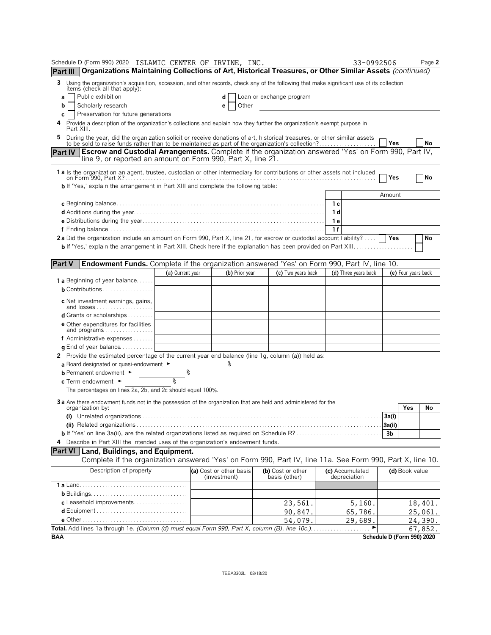| Schedule D (Form 990) 2020 ISLAMIC CENTER OF IRVINE,                                                                                                                                                                              |                  | INC.                                    |                                    | 33-0992506                      | Page 2                     |
|-----------------------------------------------------------------------------------------------------------------------------------------------------------------------------------------------------------------------------------|------------------|-----------------------------------------|------------------------------------|---------------------------------|----------------------------|
| Organizations Maintaining Collections of Art, Historical Treasures, or Other Similar Assets (continued)<br>Part III                                                                                                               |                  |                                         |                                    |                                 |                            |
| 3<br>Using the organization's acquisition, accession, and other records, check any of the following that make significant use of its collection<br>items (check all that apply):                                                  |                  |                                         |                                    |                                 |                            |
| Public exhibition<br>а                                                                                                                                                                                                            |                  | d                                       | Loan or exchange program           |                                 |                            |
| Scholarly research<br>b                                                                                                                                                                                                           |                  | Other<br>е                              |                                    |                                 |                            |
| Preservation for future generations<br>С                                                                                                                                                                                          |                  |                                         |                                    |                                 |                            |
| Provide a description of the organization's collections and explain how they further the organization's exempt purpose in<br>4<br>Part XIII.                                                                                      |                  |                                         |                                    |                                 |                            |
| 5<br>During the year, did the organization solicit or receive donations of art, historical treasures, or other similar assets<br>to be sold to raise funds rather than to be maintained as part of the organization's collection? |                  |                                         |                                    |                                 | No<br>Yes                  |
| Part IV   Escrow and Custodial Arrangements. Complete if the organization answered 'Yes' on Form 990, Part IV,<br>line 9, or reported an amount on Form 990, Part X, line 21.                                                     |                  |                                         |                                    |                                 |                            |
| 1 a Is the organization an agent, trustee, custodian or other intermediary for contributions or other assets not included                                                                                                         |                  |                                         |                                    |                                 |                            |
| on Form 990. Part X?……………………………………………………………………………………………                                                                                                                                                                           |                  |                                         |                                    |                                 | No<br>Yes                  |
| <b>b</b> If 'Yes,' explain the arrangement in Part XIII and complete the following table:                                                                                                                                         |                  |                                         |                                    |                                 |                            |
|                                                                                                                                                                                                                                   |                  |                                         |                                    |                                 | Amount                     |
|                                                                                                                                                                                                                                   |                  |                                         |                                    | 1 с<br>1 d                      |                            |
|                                                                                                                                                                                                                                   |                  |                                         |                                    | 1 e                             |                            |
|                                                                                                                                                                                                                                   |                  |                                         |                                    | 1f                              |                            |
| 2a Did the organization include an amount on Form 990, Part X, line 21, for escrow or custodial account liability?                                                                                                                |                  |                                         |                                    |                                 | Yes<br>No                  |
|                                                                                                                                                                                                                                   |                  |                                         |                                    |                                 |                            |
|                                                                                                                                                                                                                                   |                  |                                         |                                    |                                 |                            |
| <b>Part V</b><br>Endowment Funds. Complete if the organization answered 'Yes' on Form 990, Part IV, line 10.                                                                                                                      |                  |                                         |                                    |                                 |                            |
|                                                                                                                                                                                                                                   | (a) Current year | (b) Prior year                          | (c) Two years back                 | (d) Three years back            | (e) Four years back        |
| 1a Beginning of year balance                                                                                                                                                                                                      |                  |                                         |                                    |                                 |                            |
| <b>b</b> Contributions                                                                                                                                                                                                            |                  |                                         |                                    |                                 |                            |
| <b>c</b> Net investment earnings, gains,<br>and losses                                                                                                                                                                            |                  |                                         |                                    |                                 |                            |
| <b>d</b> Grants or scholarships $\ldots \ldots \ldots$                                                                                                                                                                            |                  |                                         |                                    |                                 |                            |
| <b>e</b> Other expenditures for facilities                                                                                                                                                                                        |                  |                                         |                                    |                                 |                            |
| and programs                                                                                                                                                                                                                      |                  |                                         |                                    |                                 |                            |
| f Administrative expenses                                                                                                                                                                                                         |                  |                                         |                                    |                                 |                            |
| <b>g</b> End of year balance $\ldots$                                                                                                                                                                                             |                  |                                         |                                    |                                 |                            |
| 2 Provide the estimated percentage of the current year end balance (line 1g, column (a)) held as:                                                                                                                                 |                  |                                         |                                    |                                 |                            |
| a Board designated or quasi-endowment $\blacktriangleright$                                                                                                                                                                       |                  |                                         |                                    |                                 |                            |
| <b>b</b> Permanent endowment ►                                                                                                                                                                                                    | 옹                |                                         |                                    |                                 |                            |
| $c$ Term endowment $\blacktriangleright$<br>The percentages on lines 2a, 2b, and 2c should equal 100%.                                                                                                                            |                  |                                         |                                    |                                 |                            |
|                                                                                                                                                                                                                                   |                  |                                         |                                    |                                 |                            |
| 3a Are there endowment funds not in the possession of the organization that are held and administered for the<br>organization by:                                                                                                 |                  |                                         |                                    |                                 | Yes<br>No                  |
|                                                                                                                                                                                                                                   |                  |                                         |                                    |                                 | 3a(i)                      |
|                                                                                                                                                                                                                                   |                  |                                         |                                    |                                 | 3a(ii)                     |
|                                                                                                                                                                                                                                   |                  |                                         |                                    |                                 | 3b                         |
| Describe in Part XIII the intended uses of the organization's endowment funds.<br>4                                                                                                                                               |                  |                                         |                                    |                                 |                            |
| Part VI   Land, Buildings, and Equipment.                                                                                                                                                                                         |                  |                                         |                                    |                                 |                            |
| Complete if the organization answered 'Yes' on Form 990, Part IV, line 11a. See Form 990, Part X, line 10.                                                                                                                        |                  |                                         |                                    |                                 |                            |
| Description of property                                                                                                                                                                                                           |                  | (a) Cost or other basis<br>(investment) | (b) Cost or other<br>basis (other) | (c) Accumulated<br>depreciation | (d) Book value             |
|                                                                                                                                                                                                                                   |                  |                                         |                                    |                                 |                            |
|                                                                                                                                                                                                                                   |                  |                                         |                                    |                                 |                            |
|                                                                                                                                                                                                                                   |                  |                                         | 23,561                             | 5,160.                          | 18,401.                    |
|                                                                                                                                                                                                                                   |                  |                                         | 90,847                             | 65,786.                         | 25,061.                    |
|                                                                                                                                                                                                                                   |                  |                                         | 54,079                             | 29,689.                         | 24,390.                    |
| Total. Add lines 1a through 1e. (Column (d) must equal Form 990, Part X, column (B), line 10c.)                                                                                                                                   |                  |                                         |                                    |                                 | 67,852.                    |
| BAA                                                                                                                                                                                                                               |                  |                                         |                                    |                                 | Schedule D (Form 990) 2020 |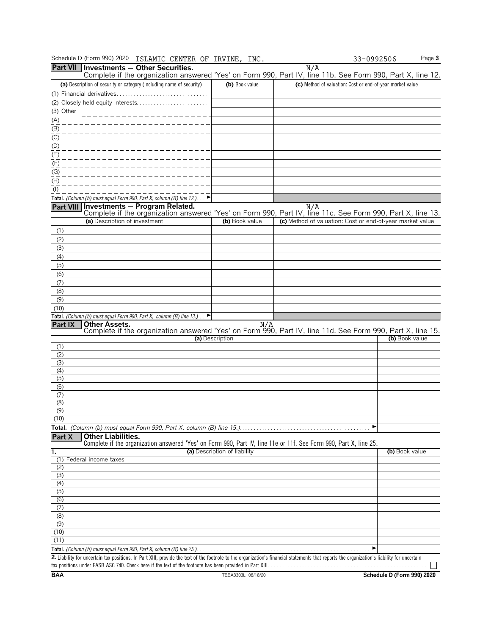| Schedule D (Form 990) 2020<br>ISLAMIC CENTER OF IRVINE, INC.                                                                                                                                |                              |                                                           | 33-0992506                                                | Page 3 |
|---------------------------------------------------------------------------------------------------------------------------------------------------------------------------------------------|------------------------------|-----------------------------------------------------------|-----------------------------------------------------------|--------|
| Part VII Investments - Other Securities.                                                                                                                                                    |                              | N/A                                                       |                                                           |        |
| Complete if the organization answered 'Yes' on Form 990, Part IV, line 11b. See Form 990, Part X, line 12.<br>(a) Description of security or category (including name of security)          | (b) Book value               |                                                           | (c) Method of valuation: Cost or end-of-year market value |        |
|                                                                                                                                                                                             |                              |                                                           |                                                           |        |
|                                                                                                                                                                                             |                              |                                                           |                                                           |        |
| (3) Other                                                                                                                                                                                   |                              |                                                           |                                                           |        |
| (A)                                                                                                                                                                                         |                              |                                                           |                                                           |        |
| $\overline{(\mathsf{B})}$                                                                                                                                                                   |                              |                                                           |                                                           |        |
| (C)                                                                                                                                                                                         |                              |                                                           |                                                           |        |
| (D)                                                                                                                                                                                         |                              |                                                           |                                                           |        |
| (E)                                                                                                                                                                                         |                              |                                                           |                                                           |        |
| (F)<br>(G)                                                                                                                                                                                  |                              |                                                           |                                                           |        |
| (H)                                                                                                                                                                                         |                              |                                                           |                                                           |        |
| $($ l $)$                                                                                                                                                                                   |                              |                                                           |                                                           |        |
| Total. (Column (b) must equal Form 990, Part X, column (B) line 12.). $\blacktriangleright$                                                                                                 |                              |                                                           |                                                           |        |
| Part VIII Investments - Program Related.                                                                                                                                                    |                              | N/A                                                       |                                                           |        |
| Complete if the organization answered 'Yes' on Form 990, Part IV, line 11c. See Form 990, Part X, line 13.<br>(a) Description of investment                                                 | (b) Book value               | (c) Method of valuation: Cost or end-of-year market value |                                                           |        |
| (1)                                                                                                                                                                                         |                              |                                                           |                                                           |        |
| (2)                                                                                                                                                                                         |                              |                                                           |                                                           |        |
| (3)                                                                                                                                                                                         |                              |                                                           |                                                           |        |
| (4)                                                                                                                                                                                         |                              |                                                           |                                                           |        |
| (5)                                                                                                                                                                                         |                              |                                                           |                                                           |        |
| (6)                                                                                                                                                                                         |                              |                                                           |                                                           |        |
| (7)                                                                                                                                                                                         |                              |                                                           |                                                           |        |
| (8)<br>(9)                                                                                                                                                                                  |                              |                                                           |                                                           |        |
| (10)                                                                                                                                                                                        |                              |                                                           |                                                           |        |
| Total. (Column (b) must equal Form 990, Part X, column (B) line 13.).<br>▶                                                                                                                  |                              |                                                           |                                                           |        |
| <b>Other Assets.</b><br>Part IX                                                                                                                                                             | N/A                          |                                                           |                                                           |        |
| Complete if the organization answered 'Yes' on Form 990, Part IV, line 11d. See Form 990, Part X, line 15.                                                                                  | (a) Description              |                                                           | (b) Book value                                            |        |
| (1)                                                                                                                                                                                         |                              |                                                           |                                                           |        |
| (2)                                                                                                                                                                                         |                              |                                                           |                                                           |        |
| (3)                                                                                                                                                                                         |                              |                                                           |                                                           |        |
| (4)<br>(5)                                                                                                                                                                                  |                              |                                                           |                                                           |        |
| (6)                                                                                                                                                                                         |                              |                                                           |                                                           |        |
| (7)                                                                                                                                                                                         |                              |                                                           |                                                           |        |
| (8)                                                                                                                                                                                         |                              |                                                           |                                                           |        |
| (9)<br>(10)                                                                                                                                                                                 |                              |                                                           |                                                           |        |
|                                                                                                                                                                                             |                              |                                                           | ▶                                                         |        |
| <b>Other Liabilities.</b><br>Part X                                                                                                                                                         |                              |                                                           |                                                           |        |
| Complete if the organization answered 'Yes' on Form 990, Part IV, line 11e or 11f. See Form 990, Part X, line 25.                                                                           |                              |                                                           |                                                           |        |
| 1.                                                                                                                                                                                          | (a) Description of liability |                                                           | (b) Book value                                            |        |
| (1) Federal income taxes<br>(2)                                                                                                                                                             |                              |                                                           |                                                           |        |
| (3)                                                                                                                                                                                         |                              |                                                           |                                                           |        |
| (4)                                                                                                                                                                                         |                              |                                                           |                                                           |        |
| (5)                                                                                                                                                                                         |                              |                                                           |                                                           |        |
| (6)<br>(7)                                                                                                                                                                                  |                              |                                                           |                                                           |        |
| (8)                                                                                                                                                                                         |                              |                                                           |                                                           |        |
| $\overline{(9)}$                                                                                                                                                                            |                              |                                                           |                                                           |        |
| (10)                                                                                                                                                                                        |                              |                                                           |                                                           |        |
| (11)                                                                                                                                                                                        |                              |                                                           |                                                           |        |
|                                                                                                                                                                                             |                              |                                                           |                                                           |        |
| 2. Liability for uncertain tax positions. In Part XIII, provide the text of the footnote to the organization's financial statements that reports the organization's liability for uncertain |                              |                                                           |                                                           |        |

**BAA TEEA3303L 08/18/20 Schedule D (Form 990) 2020**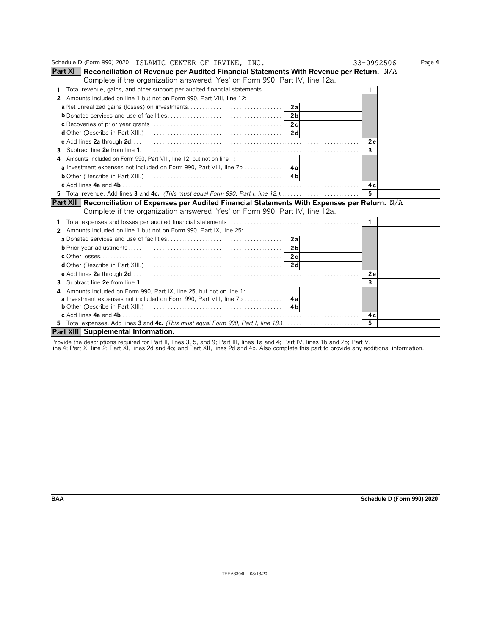| Schedule D (Form 990) 2020 ISLAMIC CENTER OF IRVINE, INC.                                                | 33-0992506   | Page 4 |
|----------------------------------------------------------------------------------------------------------|--------------|--------|
| <b>Part XI</b> Reconciliation of Revenue per Audited Financial Statements With Revenue per Return. $N/A$ |              |        |
| Complete if the organization answered 'Yes' on Form 990, Part IV, line 12a.                              |              |        |
| 1                                                                                                        | $\mathbf{1}$ |        |
| Amounts included on line 1 but not on Form 990, Part VIII, line 12:<br>2                                 |              |        |
| 2al                                                                                                      |              |        |
| 2 <sub>b</sub>                                                                                           |              |        |
|                                                                                                          |              |        |
| 2d                                                                                                       |              |        |
|                                                                                                          | 2 e          |        |
| 3                                                                                                        | 3            |        |
| Amounts included on Form 990, Part VIII, line 12, but not on line 1:                                     |              |        |
|                                                                                                          |              |        |
|                                                                                                          |              |        |
|                                                                                                          | 4 c          |        |
| 5 Total revenue. Add lines 3 and 4c. (This must equal Form 990, Part I, line 12.)                        | 5            |        |
| Part XII Reconciliation of Expenses per Audited Financial Statements With Expenses per Return. N/A       |              |        |
| Complete if the organization answered 'Yes' on Form 990, Part IV, line 12a.                              |              |        |
|                                                                                                          | 1            |        |
| Amounts included on line 1 but not on Form 990, Part IX, line 25:<br>2                                   |              |        |
| 2al                                                                                                      |              |        |
| 2 <sub>b</sub>                                                                                           |              |        |
|                                                                                                          |              |        |
|                                                                                                          |              |        |
|                                                                                                          | 2 e          |        |
| 3                                                                                                        | 3            |        |
| Amounts included on Form 990, Part IX, line 25, but not on line 1:<br>4                                  |              |        |
| <b>a</b> Investment expenses not included on Form 990, Part VIII, line 7b. 4a                            |              |        |
| 4 <sub>h</sub>                                                                                           |              |        |
|                                                                                                          | 4 с          |        |
|                                                                                                          | 5            |        |
| Part XIII Supplemental Information.                                                                      |              |        |

Provide the descriptions required for Part II, lines 3, 5, and 9; Part III, lines 1a and 4; Part IV, lines 1b and 2b; Part V,<br>line 4; Part X, line 2; Part XI, lines 2d and 4b; and Part XII, lines 2d and 4b. Also complete t

**BAA Schedule D (Form 990) 2020**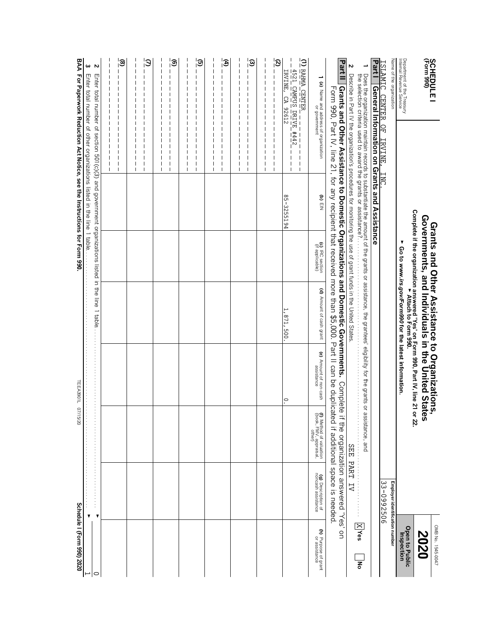| Name of the organization<br>Department of the Treasury<br>Internal Revenue Service<br><b>SCHEDULE I</b><br>(Form 990)<br><b>ISLAMIC CENTER</b>                                                                                                                                            | OF IRVINE,                                                                                                         | <b>INC</b>                                                            |                                    | Complete if the organization answered 'Yes' on Form 990, Part IV, line 21 or 22.<br>Complete if the organization answered 'Yes' on Form 990.<br><b>Grants and Other Assistance to Organizations,<br/>Governments, and Individuals in the United States</b><br>Go to www.irs.gov/Form990 for the latest information. |                                      |                                                                                                                                                                                                                                                                                                                                | Employer identification number<br>33-0992506 |
|-------------------------------------------------------------------------------------------------------------------------------------------------------------------------------------------------------------------------------------------------------------------------------------------|--------------------------------------------------------------------------------------------------------------------|-----------------------------------------------------------------------|------------------------------------|---------------------------------------------------------------------------------------------------------------------------------------------------------------------------------------------------------------------------------------------------------------------------------------------------------------------|--------------------------------------|--------------------------------------------------------------------------------------------------------------------------------------------------------------------------------------------------------------------------------------------------------------------------------------------------------------------------------|----------------------------------------------|
| <b>Part I</b>                                                                                                                                                                                                                                                                             |                                                                                                                    | General Information on Grants and Assistance                          |                                    |                                                                                                                                                                                                                                                                                                                     |                                      |                                                                                                                                                                                                                                                                                                                                |                                              |
|                                                                                                                                                                                                                                                                                           |                                                                                                                    |                                                                       |                                    | Does the organization maintain records to substantiate the amount of the grants or assistance, the grantesc' eligibility for the grants or a<br>the selection criteria used to award the grants or assistance?                                                                                                      |                                      | ssistance, and                                                                                                                                                                                                                                                                                                                 |                                              |
| N                                                                                                                                                                                                                                                                                         |                                                                                                                    |                                                                       |                                    | Describe in Part IV the organization's procedures for monitoring the use of grant funds in the United States                                                                                                                                                                                                        |                                      | <b>SEE</b>                                                                                                                                                                                                                                                                                                                     | PART IV                                      |
| Part II                                                                                                                                                                                                                                                                                   |                                                                                                                    |                                                                       |                                    | Grants and Other Assistance to Domestic Organizations and Domestic Governments.<br>Form 990, Pat IV, line 21, for any recipient that received more than \$5,000. Part II can be duplica                                                                                                                             | Complete                             | ted if additional space is needed.<br>if the organization answered 'Yes' on                                                                                                                                                                                                                                                    |                                              |
| 1 (a) Name and address of organization<br>or government                                                                                                                                                                                                                                   |                                                                                                                    | G) EIN                                                                | (c) IRC section<br>(if applicable) | (d) Amount of cash grant                                                                                                                                                                                                                                                                                            | (e) Amount of non-cash<br>assistance | 1) Method of valuation<br>(book, FMV, appraisal,<br>other)                                                                                                                                                                                                                                                                     | (g) Description of<br>noncash assistance     |
| ΓJ<br><b>RAHMA CENTER</b><br>4521 CAMPUS DRIVE #442<br>IRVINE,<br>CA 92612                                                                                                                                                                                                                | $\mathbf{I}$<br>$\mathbf I$<br>L<br>$\mathbf l$<br>$\mathbf{I}$<br>$\mathbf{I}$                                    | 85-3255194                                                            |                                    | 871,500                                                                                                                                                                                                                                                                                                             | $\circ$                              |                                                                                                                                                                                                                                                                                                                                |                                              |
| $\mathfrak{D}$<br>$\mathbf{I}$<br>$\mathbf{l}$<br>I<br>$\mathbf{l}$<br>L<br>$\mathbf{I}$<br>T<br>$\overline{\phantom{a}}$<br>$\mathbf{I}$<br>$\mathbf l$<br>$\mathbf l$<br>$\mathbf l$<br>$\mathbf{I}$<br>T<br>$\begin{array}{c} \hline \end{array}$<br>$\mathbf l$<br>-l<br>$\mathbf{I}$ | ı<br>$\mathbf{I}$<br>Π<br>П<br>$\mathbf{I}$<br>$\overline{\phantom{a}}$<br>L<br>Π<br>$\overline{\phantom{a}}$<br>L |                                                                       |                                    |                                                                                                                                                                                                                                                                                                                     |                                      |                                                                                                                                                                                                                                                                                                                                |                                              |
| $\widehat{\omega}$<br>П<br>ı                                                                                                                                                                                                                                                              | П<br>ı<br>П<br>ı<br>$\mathbf l$<br>$\mathbf l$                                                                     |                                                                       |                                    |                                                                                                                                                                                                                                                                                                                     |                                      |                                                                                                                                                                                                                                                                                                                                |                                              |
| Ð                                                                                                                                                                                                                                                                                         | $\mathbf l$                                                                                                        |                                                                       |                                    |                                                                                                                                                                                                                                                                                                                     |                                      |                                                                                                                                                                                                                                                                                                                                |                                              |
| ி                                                                                                                                                                                                                                                                                         | $\mathbf l$<br>$\mathbf I$                                                                                         |                                                                       |                                    |                                                                                                                                                                                                                                                                                                                     |                                      |                                                                                                                                                                                                                                                                                                                                |                                              |
|                                                                                                                                                                                                                                                                                           | ı                                                                                                                  |                                                                       |                                    |                                                                                                                                                                                                                                                                                                                     |                                      |                                                                                                                                                                                                                                                                                                                                |                                              |
| $\circledcirc$                                                                                                                                                                                                                                                                            | $\mathbf l$<br>$\mathbf{I}$                                                                                        |                                                                       |                                    |                                                                                                                                                                                                                                                                                                                     |                                      |                                                                                                                                                                                                                                                                                                                                |                                              |
|                                                                                                                                                                                                                                                                                           |                                                                                                                    |                                                                       |                                    |                                                                                                                                                                                                                                                                                                                     |                                      |                                                                                                                                                                                                                                                                                                                                |                                              |
| $\overline{S}$                                                                                                                                                                                                                                                                            |                                                                                                                    |                                                                       |                                    |                                                                                                                                                                                                                                                                                                                     |                                      |                                                                                                                                                                                                                                                                                                                                |                                              |
|                                                                                                                                                                                                                                                                                           | $\mathbf{I}$                                                                                                       |                                                                       |                                    |                                                                                                                                                                                                                                                                                                                     |                                      |                                                                                                                                                                                                                                                                                                                                |                                              |
| $\circledcirc$<br>$\mathbf l$<br>П                                                                                                                                                                                                                                                        | $\mathbf l$<br>$\mathbf{I}$<br>$\mathbf l$<br>$\mathbf l$<br>$\mathbf{I}$<br>$\mathbf{I}$                          |                                                                       |                                    |                                                                                                                                                                                                                                                                                                                     |                                      |                                                                                                                                                                                                                                                                                                                                |                                              |
|                                                                                                                                                                                                                                                                                           | L<br>T<br>$\mathbf{I}$                                                                                             |                                                                       |                                    |                                                                                                                                                                                                                                                                                                                     |                                      |                                                                                                                                                                                                                                                                                                                                |                                              |
| ω<br>Z                                                                                                                                                                                                                                                                                    |                                                                                                                    | Enter total number of other organizations listed in the line 1 table  |                                    | Enter total number of section 501(0)(3) and government organizations listed in the line 1 able                                                                                                                                                                                                                      |                                      | $\begin{bmatrix} 1 & 1 & 1 & 1 \\ 1 & 1 & 1 & 1 \\ 1 & 1 & 1 & 1 \\ 1 & 1 & 1 & 1 \\ 1 & 1 & 1 & 1 \\ 1 & 1 & 1 & 1 \\ 1 & 1 & 1 & 1 \\ 1 & 1 & 1 & 1 \\ 1 & 1 & 1 & 1 \\ 1 & 1 & 1 & 1 \\ 1 & 1 & 1 & 1 & 1 \\ 1 & 1 & 1 & 1 & 1 \\ 1 & 1 & 1 & 1 & 1 \\ 1 & 1 & 1 & 1 & 1 \\ 1 & 1 & 1 & 1 & 1 \\ 1 & 1 & 1 & 1 & 1 \\ 1 & $ |                                              |
| <b>BAA</b>                                                                                                                                                                                                                                                                                |                                                                                                                    | For Paperwork Reduction Act Notice, see the Instructions for Form 990 |                                    |                                                                                                                                                                                                                                                                                                                     | TEEA3901L 07/                        | 15/20                                                                                                                                                                                                                                                                                                                          |                                              |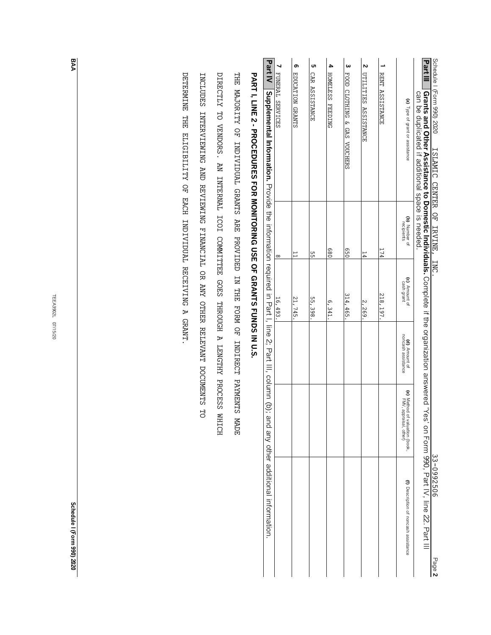TEEA3902L 07/15/20 TEEA3902L 07/15/20

**BAA**

**Schedule** Schedule I (Form 990) 2020 **(Form 990) 2020**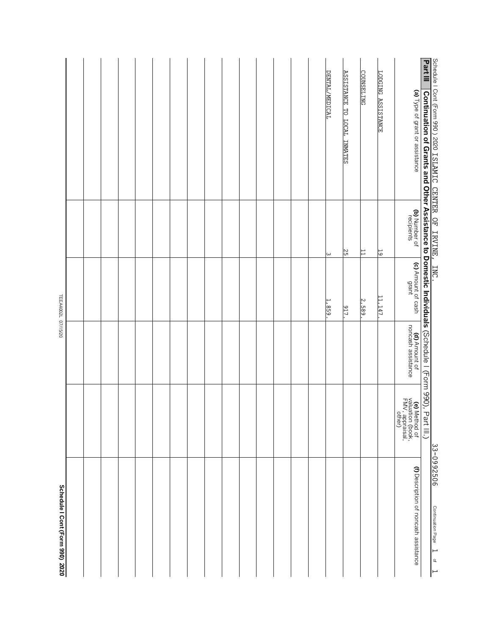| Schedule I Cont (Form 990) 2020                                                                         |                                                                       |                                            | TEEA4002L 07/15/20          |                             |                                                                                                                                                                                      |
|---------------------------------------------------------------------------------------------------------|-----------------------------------------------------------------------|--------------------------------------------|-----------------------------|-----------------------------|--------------------------------------------------------------------------------------------------------------------------------------------------------------------------------------|
|                                                                                                         |                                                                       |                                            |                             |                             |                                                                                                                                                                                      |
|                                                                                                         |                                                                       |                                            |                             |                             |                                                                                                                                                                                      |
|                                                                                                         |                                                                       |                                            |                             |                             |                                                                                                                                                                                      |
|                                                                                                         |                                                                       |                                            |                             |                             |                                                                                                                                                                                      |
|                                                                                                         |                                                                       |                                            |                             |                             |                                                                                                                                                                                      |
|                                                                                                         |                                                                       |                                            |                             |                             |                                                                                                                                                                                      |
|                                                                                                         |                                                                       |                                            |                             |                             |                                                                                                                                                                                      |
|                                                                                                         |                                                                       |                                            |                             |                             |                                                                                                                                                                                      |
|                                                                                                         |                                                                       |                                            |                             |                             |                                                                                                                                                                                      |
|                                                                                                         |                                                                       |                                            |                             |                             |                                                                                                                                                                                      |
|                                                                                                         |                                                                       |                                            |                             |                             |                                                                                                                                                                                      |
|                                                                                                         |                                                                       |                                            |                             |                             |                                                                                                                                                                                      |
|                                                                                                         |                                                                       |                                            |                             |                             |                                                                                                                                                                                      |
|                                                                                                         |                                                                       |                                            |                             |                             |                                                                                                                                                                                      |
|                                                                                                         |                                                                       |                                            |                             |                             |                                                                                                                                                                                      |
|                                                                                                         |                                                                       |                                            | 1,859.                      | $\omega$                    | DENTAL/MEDICAL                                                                                                                                                                       |
|                                                                                                         |                                                                       |                                            | 917.                        | 25                          | <b>ASSISTANCE TO LOCAL INMATES</b>                                                                                                                                                   |
|                                                                                                         |                                                                       |                                            | 2,589.                      | $\overline{1}$              | <b>COUNSELING</b>                                                                                                                                                                    |
|                                                                                                         |                                                                       |                                            | 11, 147                     | 19                          | LODGING ASSISTANCE                                                                                                                                                                   |
| (f) Description of noncash assistance                                                                   | <b>(e)</b> Method of<br>valuation (book,<br>FMV, appraisal,<br>other) | <b>(d)</b> Amount of<br>noncash assistance | (c) Amount of cash<br>grant | (b) Number of<br>recipients | (a) Type of grant or assistance                                                                                                                                                      |
|                                                                                                         |                                                                       |                                            |                             |                             | Schedule I Cont (Form 990 ) 2020 ISLAMIC CENTER OF IRVINE, INC.<br>Part III   Continuation of Grants and Other Assistance to Domestic Individuals (Schedule I (Form 990), Part III.) |
| 33-0992506<br>Continuation Page<br>$\overline{\phantom{0}}$<br>$\supsetneq$<br>$\overline{\phantom{0}}$ |                                                                       |                                            |                             |                             |                                                                                                                                                                                      |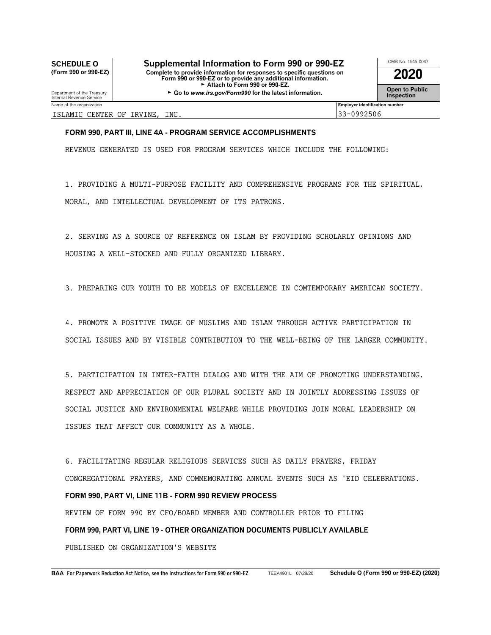# **COMB No. 1545-0047 Supplemental Information to Form 990 or 990-EZ** MB No. 1545-0047<br> **OMB No. 1545-0047 Complete to provide information for responses to specific questions on**

**(Form 990 or 990-EZ)** Complete to provide information for responses to specific questions on **2020**<br>Form 990 or 990-EZ or to provide any additional information.<br>Fattach to Form 990 or 990-EZ.

**Open to Public** Department of the Treasury Constant Of the Latest information. Support the Inspection C Treasury Constant C T C Treasury Constant Of the latest information. **Inspection Inspection** 



ISLAMIC CENTER OF IRVINE, INC. 33-0992506

# **FORM 990, PART III, LINE 4A - PROGRAM SERVICE ACCOMPLISHMENTS**

REVENUE GENERATED IS USED FOR PROGRAM SERVICES WHICH INCLUDE THE FOLLOWING:

1. PROVIDING A MULTI-PURPOSE FACILITY AND COMPREHENSIVE PROGRAMS FOR THE SPIRITUAL, MORAL, AND INTELLECTUAL DEVELOPMENT OF ITS PATRONS.

2. SERVING AS A SOURCE OF REFERENCE ON ISLAM BY PROVIDING SCHOLARLY OPINIONS AND HOUSING A WELL-STOCKED AND FULLY ORGANIZED LIBRARY.

3. PREPARING OUR YOUTH TO BE MODELS OF EXCELLENCE IN COMTEMPORARY AMERICAN SOCIETY.

4. PROMOTE A POSITIVE IMAGE OF MUSLIMS AND ISLAM THROUGH ACTIVE PARTICIPATION IN SOCIAL ISSUES AND BY VISIBLE CONTRIBUTION TO THE WELL-BEING OF THE LARGER COMMUNITY.

5. PARTICIPATION IN INTER-FAITH DIALOG AND WITH THE AIM OF PROMOTING UNDERSTANDING, RESPECT AND APPRECIATION OF OUR PLURAL SOCIETY AND IN JOINTLY ADDRESSING ISSUES OF SOCIAL JUSTICE AND ENVIRONMENTAL WELFARE WHILE PROVIDING JOIN MORAL LEADERSHIP ON ISSUES THAT AFFECT OUR COMMUNITY AS A WHOLE.

6. FACILITATING REGULAR RELIGIOUS SERVICES SUCH AS DAILY PRAYERS, FRIDAY CONGREGATIONAL PRAYERS, AND COMMEMORATING ANNUAL EVENTS SUCH AS 'EID CELEBRATIONS. **FORM 990, PART VI, LINE 11B - FORM 990 REVIEW PROCESS** REVIEW OF FORM 990 BY CFO/BOARD MEMBER AND CONTROLLER PRIOR TO FILING **FORM 990, PART VI, LINE 19 - OTHER ORGANIZATION DOCUMENTS PUBLICLY AVAILABLE** PUBLISHED ON ORGANIZATION'S WEBSITE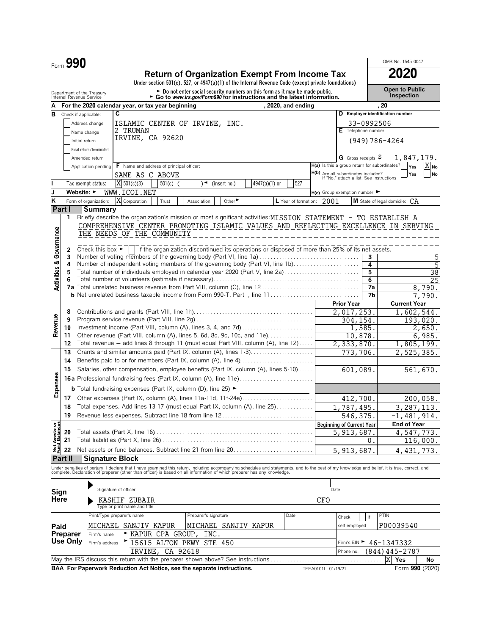|                                | Form 990       |                                                        |   |                                          |            |                                                                                          |                                                                                                                                                                                               |                      |      |                                                                                 |                   | OMB No. 1545-0047                   |
|--------------------------------|----------------|--------------------------------------------------------|---|------------------------------------------|------------|------------------------------------------------------------------------------------------|-----------------------------------------------------------------------------------------------------------------------------------------------------------------------------------------------|----------------------|------|---------------------------------------------------------------------------------|-------------------|-------------------------------------|
|                                |                |                                                        |   |                                          |            |                                                                                          | <b>Return of Organization Exempt From Income Tax</b><br>Under section 501(c), 527, or 4947(a)(1) of the Internal Revenue Code (except private foundations)                                    |                      |      |                                                                                 |                   | 2020                                |
|                                |                | Department of the Treasury<br>Internal Revenue Service |   |                                          |            |                                                                                          | $\triangleright$ Do not enter social security numbers on this form as it may be made public.<br>► Go to www.irs.gov/Form990 for instructions and the latest information.                      |                      |      |                                                                                 |                   | <b>Open to Public</b><br>Inspection |
|                                |                | For the 2020 calendar year, or tax year beginning      |   |                                          |            |                                                                                          |                                                                                                                                                                                               | , 2020, and ending   |      |                                                                                 | -20               |                                     |
| в                              |                | Check if applicable:                                   | C |                                          |            |                                                                                          |                                                                                                                                                                                               |                      |      | D Employer identification number                                                |                   |                                     |
|                                |                | Address change                                         |   |                                          |            | ISLAMIC CENTER OF IRVINE, INC.                                                           |                                                                                                                                                                                               |                      |      |                                                                                 | 33-0992506        |                                     |
|                                |                | Name change                                            |   | 2 TRUMAN                                 |            |                                                                                          |                                                                                                                                                                                               |                      |      | E Telephone number                                                              |                   |                                     |
|                                |                | Initial return                                         |   | IRVINE, CA 92620                         |            |                                                                                          |                                                                                                                                                                                               |                      |      |                                                                                 | $(949)786 - 4264$ |                                     |
|                                |                | Final return/terminated                                |   |                                          |            |                                                                                          |                                                                                                                                                                                               |                      |      |                                                                                 |                   |                                     |
|                                |                | Amended return                                         |   |                                          |            |                                                                                          |                                                                                                                                                                                               |                      |      | G Gross receipts $\varsigma$                                                    |                   | 1,847,179.                          |
|                                |                | Application pending                                    |   | F Name and address of principal officer: |            |                                                                                          |                                                                                                                                                                                               |                      |      | H(a) Is this a group return for subordinates?                                   |                   | Yes<br>X No                         |
|                                |                |                                                        |   | SAME AS C ABOVE                          |            |                                                                                          |                                                                                                                                                                                               |                      |      | H(b) Are all subordinates included?<br>If "No," attach a list. See instructions |                   | Yes<br><b>No</b>                    |
|                                |                | Tax-exempt status:                                     |   | X 501(c)(3)                              | $501(c)$ ( | (insert no.)<br>$\rightarrow$                                                            | 4947(a)(1) or                                                                                                                                                                                 | 527                  |      |                                                                                 |                   |                                     |
| J                              |                | Website: $\blacktriangleright$                         |   | WWW.ICOI.NET                             |            |                                                                                          |                                                                                                                                                                                               |                      |      | $H(c)$ Group exemption number                                                   |                   |                                     |
| κ                              |                | Form of organization:                                  |   | Corporation                              | Trust      | Other $\blacktriangleright$<br>Association                                               |                                                                                                                                                                                               | L Year of formation: | 2001 |                                                                                 |                   | M State of legal domicile: CA       |
| Part I                         |                | Summary                                                |   |                                          |            |                                                                                          |                                                                                                                                                                                               |                      |      |                                                                                 |                   |                                     |
|                                | 1              |                                                        |   |                                          |            |                                                                                          | Briefly describe the organization's mission or most significant activities: MISSION STATEMENT - TO ESTABLISH A                                                                                |                      |      |                                                                                 |                   |                                     |
|                                |                |                                                        |   |                                          |            |                                                                                          | COMPREHENSIVE CENTER PROMOTING ISLAMIC VALUES AND REFLECTING EXCELLENCE IN SERVING                                                                                                            |                      |      |                                                                                 |                   |                                     |
|                                |                | THE NEEDS OF THE COMMUNITY                             |   |                                          |            |                                                                                          |                                                                                                                                                                                               |                      |      |                                                                                 |                   |                                     |
| Governance                     |                |                                                        |   |                                          |            |                                                                                          |                                                                                                                                                                                               |                      |      |                                                                                 |                   |                                     |
|                                | 2              |                                                        |   |                                          |            |                                                                                          | Check this box $\blacktriangleright$ if the organization discontinued its operations or disposed of more than 25% of its net assets.                                                          |                      |      |                                                                                 |                   |                                     |
|                                | 3              |                                                        |   |                                          |            |                                                                                          | Number of voting members of the governing body (Part VI, line 1a)                                                                                                                             |                      |      |                                                                                 | 3                 | 5                                   |
|                                | 4              |                                                        |   |                                          |            |                                                                                          | Number of independent voting members of the governing body (Part VI, line 1b)                                                                                                                 |                      |      |                                                                                 | 4                 | $\overline{5}$                      |
|                                | 5<br>6         |                                                        |   |                                          |            |                                                                                          | Total number of individuals employed in calendar year 2020 (Part V, line 2a)                                                                                                                  |                      |      |                                                                                 | 5<br>6            | $\overline{38}$<br>25               |
| <b>Activities &amp;</b>        |                |                                                        |   |                                          |            |                                                                                          |                                                                                                                                                                                               |                      |      |                                                                                 | 7a                | 8,790.                              |
|                                |                |                                                        |   |                                          |            |                                                                                          |                                                                                                                                                                                               |                      |      |                                                                                 | 7b                | 790.                                |
|                                |                |                                                        |   |                                          |            |                                                                                          |                                                                                                                                                                                               |                      |      | <b>Prior Year</b>                                                               |                   | <b>Current Year</b>                 |
|                                | 8              |                                                        |   |                                          |            |                                                                                          |                                                                                                                                                                                               |                      |      | 2,017,253.                                                                      |                   | 1,602,544.                          |
|                                | 9              |                                                        |   |                                          |            |                                                                                          |                                                                                                                                                                                               |                      |      | 304,154.                                                                        |                   | 193,020.                            |
| Revenue                        | 10             |                                                        |   |                                          |            |                                                                                          |                                                                                                                                                                                               |                      |      | 1,585.                                                                          |                   | 2,650.                              |
|                                | 11             |                                                        |   |                                          |            |                                                                                          | Other revenue (Part VIII, column (A), lines 5, 6d, 8c, 9c, 10c, and 11e)                                                                                                                      |                      |      | 10,878.                                                                         |                   | 6,985.                              |
|                                | 12             |                                                        |   |                                          |            |                                                                                          | Total revenue - add lines 8 through 11 (must equal Part VIII, column (A), line 12)                                                                                                            |                      |      | 2, 333, 870.                                                                    |                   | 1,805,199.                          |
|                                | 13             |                                                        |   |                                          |            |                                                                                          | Grants and similar amounts paid (Part IX, column (A), lines 1-3)                                                                                                                              |                      |      | 773,706.                                                                        |                   | 2,525,385.                          |
|                                | 14             |                                                        |   |                                          |            |                                                                                          |                                                                                                                                                                                               |                      |      |                                                                                 |                   |                                     |
|                                | 15             |                                                        |   |                                          |            |                                                                                          | Salaries, other compensation, employee benefits (Part IX, column (A), lines 5-10)                                                                                                             |                      |      | 601,089.                                                                        |                   | 561,670.                            |
| Expenses                       |                |                                                        |   |                                          |            |                                                                                          | <b>16a</b> Professional fundraising fees (Part IX, column (A), line 11e)                                                                                                                      |                      |      |                                                                                 |                   |                                     |
|                                |                |                                                        |   |                                          |            | <b>b</b> Total fundraising expenses (Part IX, column (D), line 25) $\blacktriangleright$ |                                                                                                                                                                                               |                      |      |                                                                                 |                   |                                     |
|                                |                |                                                        |   |                                          |            |                                                                                          | 17 Other expenses (Part IX, column (A), lines 11a-11d, 11f-24e)                                                                                                                               |                      |      | 412,700.                                                                        |                   | 200,058.                            |
|                                | 18             |                                                        |   |                                          |            |                                                                                          | Total expenses. Add lines 13-17 (must equal Part IX, column (A), line 25)                                                                                                                     |                      |      | 1,787,495.                                                                      |                   | 3,287,113.                          |
|                                |                |                                                        |   |                                          |            |                                                                                          | 19 Revenue less expenses. Subtract line 18 from line 12                                                                                                                                       |                      |      | 546, 375.                                                                       |                   | $-1,481,914.$                       |
|                                |                |                                                        |   |                                          |            |                                                                                          |                                                                                                                                                                                               |                      |      | <b>Beginning of Current Year</b>                                                |                   | End of Year                         |
| Net Assets or<br>Fund Balances | 20             |                                                        |   |                                          |            |                                                                                          |                                                                                                                                                                                               |                      |      | 5,913,687                                                                       |                   | $\overline{4,547,773.}$             |
|                                | 21             |                                                        |   |                                          |            |                                                                                          |                                                                                                                                                                                               |                      |      |                                                                                 | 0                 | 116,000.                            |
|                                | 22             |                                                        |   |                                          |            |                                                                                          | Net assets or fund balances. Subtract line 21 from line 20                                                                                                                                    |                      |      | 5, 913, 687.                                                                    |                   | 4, 431, 773.                        |
|                                | <b>Part II</b> | <b>Signature Block</b>                                 |   |                                          |            |                                                                                          |                                                                                                                                                                                               |                      |      |                                                                                 |                   |                                     |
|                                |                |                                                        |   |                                          |            |                                                                                          | Under penalties of perjury, I declare that I have examined this return, including accompanying schedules and statements, and to the best of my knowledge and belief, it is true, correct, and |                      |      |                                                                                 |                   |                                     |
|                                |                |                                                        |   |                                          |            |                                                                                          | complete. Declaration of preparer (other than officer) is based on all information of which preparer has any knowledge.                                                                       |                      |      |                                                                                 |                   |                                     |
|                                |                |                                                        |   |                                          |            |                                                                                          |                                                                                                                                                                                               |                      |      |                                                                                 |                   |                                     |
| Sign                           |                | Signature of officer                                   |   |                                          |            |                                                                                          |                                                                                                                                                                                               |                      | Date |                                                                                 |                   |                                     |
| Here                           |                |                                                        |   | KASHIF ZUBAIR                            |            |                                                                                          |                                                                                                                                                                                               |                      | CFO  |                                                                                 |                   |                                     |
|                                |                |                                                        |   | Type or print name and title             |            |                                                                                          |                                                                                                                                                                                               |                      |      |                                                                                 |                   |                                     |
|                                |                | Print/Type preparer's name                             |   |                                          |            | Preparer's signature                                                                     |                                                                                                                                                                                               | Date                 |      | Check                                                                           | PTIN<br>if        |                                     |
| Paid                           |                |                                                        |   | MICHAEL SANJIV KAPUR                     |            | MICHAEL SANJIV KAPUR                                                                     |                                                                                                                                                                                               |                      |      | self-employed                                                                   |                   | P00039540                           |
|                                | Preparer       | Firm's name                                            |   | ► KAPUR CPA GROUP,                       |            | INC.                                                                                     |                                                                                                                                                                                               |                      |      |                                                                                 |                   |                                     |
|                                | Use Only       | Firm's address                                         |   |                                          |            | 15615 ALTON PKWY STE 450                                                                 |                                                                                                                                                                                               |                      |      | Firm's EIN                                                                      |                   | 46-1347332                          |
|                                |                |                                                        |   | IRVINE,                                  | CA 92618   |                                                                                          |                                                                                                                                                                                               |                      |      | Phone no.                                                                       |                   | $(844)$ 445-2787                    |

May the IRS discuss this return with the preparer shown above? See instructions. . . . . . . . . . . . . . . . . . . . . . . . . . . . . . . . . . . . . . . . **Yes No BAA For Paperwork Reduction Act Notice, see the separate instructions.** TEEA0101L 01/19/21 Form 990 (2020)

X Yes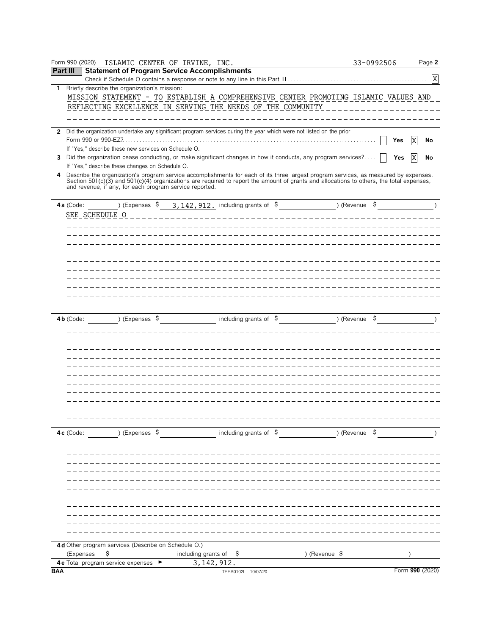|              | Form 990 (2020)<br>ISLAMIC CENTER OF IRVINE, INC.                                                                                                                                                                                 |                                                                                      | 33-0992506    | Page 2          |
|--------------|-----------------------------------------------------------------------------------------------------------------------------------------------------------------------------------------------------------------------------------|--------------------------------------------------------------------------------------|---------------|-----------------|
|              | <b>Statement of Program Service Accomplishments</b><br><b>Part III</b>                                                                                                                                                            |                                                                                      |               |                 |
|              |                                                                                                                                                                                                                                   |                                                                                      |               | X               |
| $\mathbf{1}$ | Briefly describe the organization's mission:                                                                                                                                                                                      |                                                                                      |               |                 |
|              |                                                                                                                                                                                                                                   | MISSION STATEMENT - TO ESTABLISH A COMPREHENSIVE CENTER PROMOTING ISLAMIC VALUES AND |               |                 |
|              | REFLECTING EXCELLENCE IN SERVING THE NEEDS OF THE COMMUNITY                                                                                                                                                                       |                                                                                      |               |                 |
|              |                                                                                                                                                                                                                                   |                                                                                      |               |                 |
|              | 2 Did the organization undertake any significant program services during the year which were not listed on the prior                                                                                                              |                                                                                      |               |                 |
|              |                                                                                                                                                                                                                                   |                                                                                      |               | X               |
|              | If "Yes," describe these new services on Schedule O.                                                                                                                                                                              |                                                                                      | Yes           | No              |
|              | 3 Did the organization cease conducting, or make significant changes in how it conducts, any program services?                                                                                                                    |                                                                                      | Yes           | X<br>No         |
|              | If "Yes," describe these changes on Schedule O.                                                                                                                                                                                   |                                                                                      |               |                 |
|              |                                                                                                                                                                                                                                   |                                                                                      |               |                 |
|              | 4 Describe the organization's program service accomplishments for each of its three largest program services, as measured by expenses.<br>Section 501(c)(3) and 501(c)(4) organizations are required to report the amount of gran |                                                                                      |               |                 |
|              | and revenue, if any, for each program service reported.                                                                                                                                                                           |                                                                                      |               |                 |
|              |                                                                                                                                                                                                                                   |                                                                                      | ) (Revenue \$ |                 |
|              | ) (Expenses \$<br>4a (Code:                                                                                                                                                                                                       | $3,142,912$ . including grants of $\sim$                                             |               |                 |
|              | <b>SEE SCHEDULE O</b>                                                                                                                                                                                                             |                                                                                      |               |                 |
|              |                                                                                                                                                                                                                                   |                                                                                      |               |                 |
|              |                                                                                                                                                                                                                                   |                                                                                      |               |                 |
|              |                                                                                                                                                                                                                                   |                                                                                      |               |                 |
|              |                                                                                                                                                                                                                                   |                                                                                      |               |                 |
|              |                                                                                                                                                                                                                                   |                                                                                      |               |                 |
|              |                                                                                                                                                                                                                                   |                                                                                      |               |                 |
|              |                                                                                                                                                                                                                                   |                                                                                      |               |                 |
|              |                                                                                                                                                                                                                                   |                                                                                      |               |                 |
|              |                                                                                                                                                                                                                                   |                                                                                      |               |                 |
|              |                                                                                                                                                                                                                                   |                                                                                      |               |                 |
|              | ) (Expenses $$$<br>4b (Code:                                                                                                                                                                                                      | including grants of \$                                                               | ) (Revenue \$ |                 |
|              |                                                                                                                                                                                                                                   |                                                                                      |               |                 |
|              |                                                                                                                                                                                                                                   |                                                                                      |               |                 |
|              |                                                                                                                                                                                                                                   |                                                                                      |               |                 |
|              |                                                                                                                                                                                                                                   |                                                                                      |               |                 |
|              |                                                                                                                                                                                                                                   |                                                                                      |               |                 |
|              |                                                                                                                                                                                                                                   |                                                                                      |               |                 |
|              |                                                                                                                                                                                                                                   |                                                                                      |               |                 |
|              |                                                                                                                                                                                                                                   |                                                                                      |               |                 |
|              |                                                                                                                                                                                                                                   |                                                                                      |               |                 |
|              |                                                                                                                                                                                                                                   |                                                                                      |               |                 |
|              |                                                                                                                                                                                                                                   |                                                                                      |               |                 |
|              |                                                                                                                                                                                                                                   |                                                                                      |               |                 |
|              | ) (Expenses $$$<br>4c (Code:                                                                                                                                                                                                      | including grants of $\oint$                                                          | ) (Revenue \$ |                 |
|              |                                                                                                                                                                                                                                   |                                                                                      |               |                 |
|              |                                                                                                                                                                                                                                   |                                                                                      |               |                 |
|              |                                                                                                                                                                                                                                   |                                                                                      |               |                 |
|              |                                                                                                                                                                                                                                   |                                                                                      |               |                 |
|              |                                                                                                                                                                                                                                   |                                                                                      |               |                 |
|              |                                                                                                                                                                                                                                   |                                                                                      |               |                 |
|              |                                                                                                                                                                                                                                   |                                                                                      |               |                 |
|              |                                                                                                                                                                                                                                   |                                                                                      |               |                 |
|              |                                                                                                                                                                                                                                   |                                                                                      |               |                 |
|              |                                                                                                                                                                                                                                   |                                                                                      |               |                 |
|              |                                                                                                                                                                                                                                   |                                                                                      |               |                 |
|              |                                                                                                                                                                                                                                   |                                                                                      |               |                 |
|              | 4d Other program services (Describe on Schedule O.)                                                                                                                                                                               |                                                                                      |               |                 |
|              | Ş<br>(Expenses                                                                                                                                                                                                                    | including grants of<br>) (Revenue \$<br>Ş                                            |               |                 |
|              | 4 e Total program service expenses ►                                                                                                                                                                                              | 3, 142, 912.                                                                         |               |                 |
| <b>BAA</b>   |                                                                                                                                                                                                                                   | TEEA0102L 10/07/20                                                                   |               | Form 990 (2020) |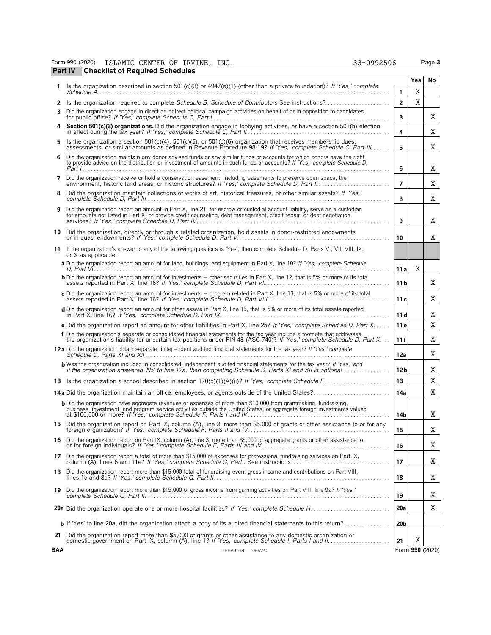| Form 990 (2020) |                                                | ISLAMIC CENTER OF IRVINE. | INC. | 33-0992506 | Page 3 |
|-----------------|------------------------------------------------|---------------------------|------|------------|--------|
|                 | <b>Part IV Checklist of Required Schedules</b> |                           |      |            |        |

|    |                                                                                                                                                                                                                                                     |                 | Yes | No |
|----|-----------------------------------------------------------------------------------------------------------------------------------------------------------------------------------------------------------------------------------------------------|-----------------|-----|----|
| 1. | Is the organization described in section 501(c)(3) or 4947(a)(1) (other than a private foundation)? If 'Yes,' complete                                                                                                                              | 1               | X   |    |
|    |                                                                                                                                                                                                                                                     | $\overline{2}$  | Χ   |    |
| 3  | Did the organization engage in direct or indirect political campaign activities on behalf of or in opposition to candidates                                                                                                                         | 3               |     | X  |
|    | 4 Section 501(c)(3) organizations. Did the organization engage in lobbying activities, or have a section 501(h) election                                                                                                                            | 4               |     | Χ  |
| 5. | Is the organization a section $501(c)(4)$ , $501(c)(5)$ , or $501(c)(6)$ organization that receives membership dues,<br>assessments, or similar amounts as defined in Revenue Procedure 98-19? If 'Yes,' complete Schedule C, Part III              | 5               |     | X  |
| 6  | Did the organization maintain any donor advised funds or any similar funds or accounts for which donors have the right<br>to provide advice on the distribution or investment of amounts in such funds or accounts? If 'Yes,' complete Schedule D.  | 6               |     | X  |
| 7  | Did the organization receive or hold a conservation easement, including easements to preserve open space, the<br>environment, historic land areas, or historic structures? If 'Yes,' complete Schedule D, Part II.                                  | $\overline{7}$  |     | Χ  |
| 8  | Did the organization maintain collections of works of art, historical treasures, or other similar assets? If 'Yes,'                                                                                                                                 | 8               |     | X  |
| 9  | Did the organization report an amount in Part X, line 21, for escrow or custodial account liability, serve as a custodian<br>for amounts not listed in Part X; or provide credit counseling, debt management, credit repair, or debt negotiation    | 9               |     | X  |
|    | 10 Did the organization, directly or through a related organization, hold assets in donor-restricted endowments<br>or in quasi endowments? If 'Yes,' complete Schedule D. Part V.                                                                   | 10              |     | X  |
|    | 11 If the organization's answer to any of the following questions is 'Yes', then complete Schedule D, Parts VI, VII, VIII, IX,<br>or X as applicable.                                                                                               |                 |     |    |
|    | a Did the organization report an amount for land, buildings, and equipment in Part X, line 10? If 'Yes,' complete Schedule                                                                                                                          | 11 a            | Χ   |    |
|    | <b>b</b> Did the organization report an amount for investments – other securities in Part X, line 12, that is 5% or more of its total                                                                                                               | 11 <sub>b</sub> |     | Χ  |
|    | c Did the organization report an amount for investments - program related in Part X, line 13, that is 5% or more of its total                                                                                                                       | 11 c            |     | Χ  |
|    |                                                                                                                                                                                                                                                     | 11 d            |     | Χ  |
|    | <b>e</b> Did the organization report an amount for other liabilities in Part X, line 25? If 'Yes,' complete Schedule D, Part X                                                                                                                      | 11 e            |     | X  |
|    | f Did the organization's separate or consolidated financial statements for the tax year include a footnote that addresses<br>the organization's liability for uncertain tax positions under FIN 48 (ASC 740)? If "Yes,' complete Schedule D, Part X | 11f             |     | X  |
|    | 12a Did the organization obtain separate, independent audited financial statements for the tax year? If 'Yes,' complete                                                                                                                             | 12a             |     | Χ  |
|    | <b>b</b> Was the organization included in consolidated, independent audited financial statements for the tax year? If 'Yes,' and<br>if the organization answered 'No' to line 12a, then completing Schedule D, Parts XI and XII is optional         | 12 <sub>b</sub> |     | Χ  |
|    |                                                                                                                                                                                                                                                     | 13              |     | X  |
|    | <b>14a</b> Did the organization maintain an office, employees, or agents outside of the United States?                                                                                                                                              | 14a             |     | Χ  |
|    | <b>b</b> Did the organization have aggregate revenues or expenses of more than \$10,000 from grantmaking, fundraising,                                                                                                                              | 14b             |     | Χ  |
|    | 15 Did the organization report on Part IX, column (A), line 3, more than \$5,000 of grants or other assistance to or for any                                                                                                                        | 15              |     | Χ  |
|    | 16 Did the organization report on Part IX, column (A), line 3, more than \$5,000 of aggregate grants or other assistance to                                                                                                                         | 16              |     | X  |
| 17 | Did the organization report a total of more than \$15,000 of expenses for professional fundraising services on Part IX,<br>column (A), lines 6 and 11e? If 'Yes,' complete Schedule G, Part I See instructions                                      | 17              |     | Χ  |
| 18 | Did the organization report more than \$15,000 total of fundraising event gross income and contributions on Part VIII,                                                                                                                              | 18              |     | Χ  |
| 19 | Did the organization report more than \$15,000 of gross income from gaming activities on Part VIII, line 9a? If 'Yes,'                                                                                                                              | 19              |     | Χ  |
|    |                                                                                                                                                                                                                                                     | 20a             |     | Χ  |
|    | <b>b</b> If 'Yes' to line 20a, did the organization attach a copy of its audited financial statements to this return?                                                                                                                               | 20 <sub>b</sub> |     |    |
|    | 21 Did the organization report more than \$5,000 of grants or other assistance to any domestic organization or                                                                                                                                      | 21              | Χ   |    |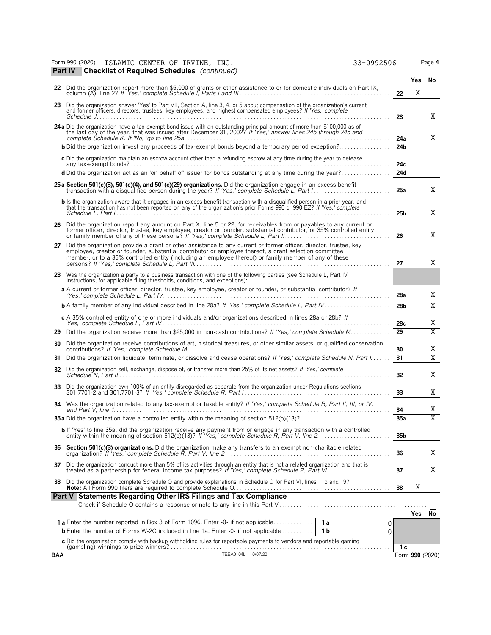| (2020)<br>Form 990 . | ISLAMIC | CENTER | OF | IRVINE, | INC. | 3-0992506<br><u>_</u><br>رير | Page 4 |
|----------------------|---------|--------|----|---------|------|------------------------------|--------|
|----------------------|---------|--------|----|---------|------|------------------------------|--------|

|            | <b>Part IV</b> Checklist of Required Schedules (continued)                                                                                                                                                                                                                                                                            |                 |                 |                |
|------------|---------------------------------------------------------------------------------------------------------------------------------------------------------------------------------------------------------------------------------------------------------------------------------------------------------------------------------------|-----------------|-----------------|----------------|
|            |                                                                                                                                                                                                                                                                                                                                       |                 | <b>Yes</b>      | No             |
|            | 22 Did the organization report more than \$5,000 of grants or other assistance to or for domestic individuals on Part IX,                                                                                                                                                                                                             | 22              | X               |                |
| 23         | Did the organization answer 'Yes' to Part VII, Section A, line 3, 4, or 5 about compensation of the organization's current<br>and former officers, directors, trustees, key employees, and highest compensated employees? If 'Yes,' complete                                                                                          | 23              |                 | X              |
|            | 24 a Did the organization have a tax-exempt bond issue with an outstanding principal amount of more than \$100,000 as of<br>the last day of the year, that was issued after December 31, 2002? If 'Yes,' answer lines 24b through 24d and                                                                                             | 24a             |                 | X              |
|            | <b>b</b> Did the organization invest any proceeds of tax-exempt bonds beyond a temporary period exception?                                                                                                                                                                                                                            | 24b             |                 |                |
|            | c Did the organization maintain an escrow account other than a refunding escrow at any time during the year to defease                                                                                                                                                                                                                | 24c             |                 |                |
|            | d Did the organization act as an 'on behalf of' issuer for bonds outstanding at any time during the year?                                                                                                                                                                                                                             | 24d             |                 |                |
|            | 25 a Section 501(c)(3), 501(c)(4), and 501(c)(29) organizations. Did the organization engage in an excess benefit                                                                                                                                                                                                                     | 25a             |                 | X              |
|            | <b>b</b> Is the organization aware that it engaged in an excess benefit transaction with a disqualified person in a prior year, and<br>that the transaction has not been reported on any of the organization's prior Forms 990 or 990-EZ? If 'Yes,' complete                                                                          | 25 <sub>b</sub> |                 | X              |
|            | 26 Did the organization report any amount on Part X, line 5 or 22, for receivables from or payables to any current or former officer, director, trustee, key employee, creator or founder, substantial contributor, or 35% con                                                                                                        | 26              |                 | X              |
| 27         | Did the organization provide a grant or other assistance to any current or former officer, director, trustee, key<br>employee, creator or founder, substantial contributor or employee thereof, a grant selection committee<br>member, or to a 35% controlled entity (including an employee thereof) or family member of any of these | 27              |                 | X              |
|            | 28 Was the organization a party to a business transaction with one of the following parties (see Schedule L, Part IV<br>instructions, for applicable filing thresholds, conditions, and exceptions):                                                                                                                                  |                 |                 |                |
|            | a A current or former officer, director, trustee, key employee, creator or founder, or substantial contributor? If                                                                                                                                                                                                                    | 28a             |                 | X              |
|            |                                                                                                                                                                                                                                                                                                                                       | 28 <sub>b</sub> |                 | X              |
|            | c A 35% controlled entity of one or more individuals and/or organizations described in lines 28a or 28b? If<br>Yes,' complete Schedule L, Part IV……………………………………………………………………                                                                                                                                                           | 28c             |                 | Χ              |
| 29         | Did the organization receive more than \$25,000 in non-cash contributions? If 'Yes,' complete Schedule M                                                                                                                                                                                                                              | 29              |                 | X              |
| 30         | Did the organization receive contributions of art, historical treasures, or other similar assets, or qualified conservation                                                                                                                                                                                                           | 30              |                 | Χ              |
| 31         | Did the organization liquidate, terminate, or dissolve and cease operations? If 'Yes,' complete Schedule N, Part I                                                                                                                                                                                                                    | 31              |                 | $\overline{X}$ |
| 32         | Did the organization sell, exchange, dispose of, or transfer more than 25% of its net assets? If 'Yes,' complete                                                                                                                                                                                                                      | 32              |                 | Χ              |
|            | 33 Did the organization own 100% of an entity disregarded as separate from the organization under Regulations sections                                                                                                                                                                                                                | 33              |                 | Χ              |
|            | 34 Was the organization related to any tax-exempt or taxable entity? If 'Yes,' complete Schedule R, Part II, III, or IV,                                                                                                                                                                                                              | 34              |                 | Χ              |
|            |                                                                                                                                                                                                                                                                                                                                       | 35a             |                 | $\overline{X}$ |
|            | b If 'Yes' to line 35a, did the organization receive any payment from or engage in any transaction with a controlled<br>entity within the meaning of section 512(b)(13)? If 'Yes,' complete Schedule R, Part V, line 2.                                                                                                               | 35b             |                 |                |
| 36         | Section 501(c)(3) organizations. Did the organization make any transfers to an exempt non-charitable related                                                                                                                                                                                                                          | 36              |                 | Χ              |
|            | 37 Did the organization conduct more than 5% of its activities through an entity that is not a related organization and that is                                                                                                                                                                                                       | 37              |                 | X              |
|            | 38 Did the organization complete Schedule O and provide explanations in Schedule O for Part VI, lines 11b and 19?                                                                                                                                                                                                                     | 38              | Χ               |                |
|            | <b>Part V Statements Regarding Other IRS Filings and Tax Compliance</b>                                                                                                                                                                                                                                                               |                 |                 |                |
|            |                                                                                                                                                                                                                                                                                                                                       |                 |                 |                |
|            | <b>1a</b> Enter the number reported in Box 3 of Form 1096. Enter -0- if not applicable<br>1a<br>0                                                                                                                                                                                                                                     |                 | Yes             | No             |
|            | <b>b</b> Enter the number of Forms W-2G included in line 1a. Enter -0- if not applicable<br>1 b<br>0                                                                                                                                                                                                                                  |                 |                 |                |
|            | c Did the organization comply with backup withholding rules for reportable payments to vendors and reportable gaming                                                                                                                                                                                                                  |                 |                 |                |
|            | TEEA0104L 10/07/20                                                                                                                                                                                                                                                                                                                    | 1 с             |                 |                |
| <b>BAA</b> |                                                                                                                                                                                                                                                                                                                                       |                 | Form 990 (2020) |                |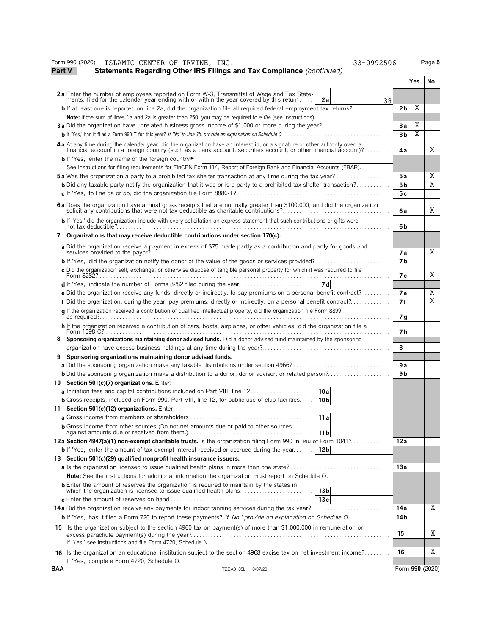|            | 33-0992506<br>Form 990 (2020)<br>ISLAMIC CENTER OF IRVINE, INC.                                                                                                                                                                                  |                |            | Page 5                  |
|------------|--------------------------------------------------------------------------------------------------------------------------------------------------------------------------------------------------------------------------------------------------|----------------|------------|-------------------------|
| Part V     | Statements Regarding Other IRS Filings and Tax Compliance (continued)                                                                                                                                                                            |                |            |                         |
|            |                                                                                                                                                                                                                                                  |                | <b>Yes</b> | No                      |
|            | 2a Enter the number of employees reported on Form W-3, Transmittal of Wage and Tax Statements, filed for the calendar year ending with or within the year covered by this return<br>2a<br>38                                                     |                |            |                         |
|            | <b>b</b> If at least one is reported on line 2a, did the organization file all required federal employment tax returns?                                                                                                                          | 2b             | Χ          |                         |
|            | <b>Note:</b> If the sum of lines 1a and 2a is greater than 250, you may be required to e-file (see instructions)                                                                                                                                 |                |            |                         |
|            | <b>3a</b> Did the organization have unrelated business gross income of \$1,000 or more during the year?                                                                                                                                          | Зa             | Χ          |                         |
|            |                                                                                                                                                                                                                                                  | 3 <sub>b</sub> | Χ          |                         |
|            | 4a At any time during the calendar year, did the organization have an interest in, or a signature or other authority over, a<br>financial account in a foreign country (such as a bank account, securities account, or other financial account)? | 4а             |            | Χ                       |
|            | <b>b</b> If 'Yes,' enter the name of the foreign country                                                                                                                                                                                         |                |            |                         |
|            | See instructions for filing requirements for FinCEN Form 114, Report of Foreign Bank and Financial Accounts (FBAR).                                                                                                                              |                |            |                         |
|            | <b>5a</b> Was the organization a party to a prohibited tax shelter transaction at any time during the tax year?                                                                                                                                  | 5 a            |            | Χ                       |
|            | <b>b</b> Did any taxable party notify the organization that it was or is a party to a prohibited tax shelter transaction?                                                                                                                        | 5 <sub>b</sub> |            | Χ                       |
|            |                                                                                                                                                                                                                                                  | 5c             |            |                         |
|            | 6a Does the organization have annual gross receipts that are normally greater than \$100,000, and did the organization solicit any contributions that were not tax deductible as charitable contributions?                                       | 6a             |            | Χ                       |
|            | b If 'Yes,' did the organization include with every solicitation an express statement that such contributions or gifts were                                                                                                                      | 6b             |            |                         |
| 7          | Organizations that may receive deductible contributions under section 170(c).                                                                                                                                                                    |                |            |                         |
|            | a Did the organization receive a payment in excess of \$75 made partly as a contribution and partly for goods and<br>services provided to the payor?                                                                                             | 7a             |            | $\overline{\mathrm{X}}$ |
|            |                                                                                                                                                                                                                                                  | 7 <sub>b</sub> |            |                         |
|            | c Did the organization sell, exchange, or otherwise dispose of tangible personal property for which it was required to file                                                                                                                      |                |            |                         |
|            |                                                                                                                                                                                                                                                  | 7 с            |            | Χ                       |
|            |                                                                                                                                                                                                                                                  |                |            |                         |
|            | e Did the organization receive any funds, directly or indirectly, to pay premiums on a personal benefit contract?                                                                                                                                | <b>7e</b>      |            | Χ                       |
|            | f Did the organization, during the year, pay premiums, directly or indirectly, on a personal benefit contract?                                                                                                                                   | 7 f            |            | Χ                       |
|            | q If the organization received a contribution of qualified intellectual property, did the organization file Form 8899                                                                                                                            | 7 g            |            |                         |
|            | h If the organization received a contribution of cars, boats, airplanes, or other vehicles, did the organization file a                                                                                                                          | 7 h            |            |                         |
|            | Sponsoring organizations maintaining donor advised funds. Did a donor advised fund maintained by the sponsoring                                                                                                                                  |                |            |                         |
|            |                                                                                                                                                                                                                                                  | 8              |            |                         |
| 9          | Sponsoring organizations maintaining donor advised funds.                                                                                                                                                                                        |                |            |                         |
|            |                                                                                                                                                                                                                                                  | 9 a            |            |                         |
|            |                                                                                                                                                                                                                                                  | 9 <sub>b</sub> |            |                         |
|            | 10 Section 501(c)(7) organizations. Enter:                                                                                                                                                                                                       |                |            |                         |
|            | <b>a</b> Initiation fees and capital contributions included on Part VIII, line 12<br> 10a                                                                                                                                                        |                |            |                         |
|            | <b>b</b> Gross receipts, included on Form 990, Part VIII, line 12, for public use of club facilities<br>10 b                                                                                                                                     |                |            |                         |
|            | 11 Section 501(c)(12) organizations. Enter:                                                                                                                                                                                                      |                |            |                         |
|            | 11a                                                                                                                                                                                                                                              |                |            |                         |
|            | <b>b</b> Gross income from other sources (Do not net amounts due or paid to other sources<br>11 <sub>b</sub>                                                                                                                                     |                |            |                         |
|            | 12a Section 4947(a)(1) non-exempt charitable trusts. Is the organization filing Form 990 in lieu of Form 1041?                                                                                                                                   | 12a            |            |                         |
|            | <b>b</b> If 'Yes,' enter the amount of tax-exempt interest received or accrued during the year   12b                                                                                                                                             |                |            |                         |
|            | 13 Section 501(c)(29) qualified nonprofit health insurance issuers.                                                                                                                                                                              |                |            |                         |
|            |                                                                                                                                                                                                                                                  | 13a            |            |                         |
|            | <b>Note:</b> See the instructions for additional information the organization must report on Schedule O.                                                                                                                                         |                |            |                         |
|            | <b>b</b> Enter the amount of reserves the organization is required to maintain by the states in<br>which the organization is licensed to issue qualified health plans<br>13 b                                                                    |                |            |                         |
|            | 13c                                                                                                                                                                                                                                              |                |            | Χ                       |
|            |                                                                                                                                                                                                                                                  | 14 a           |            |                         |
|            | <b>b</b> If 'Yes,' has it filed a Form 720 to report these payments? If 'No,' provide an explanation on Schedule O                                                                                                                               | 14 b           |            |                         |
|            | 15 Is the organization subject to the section 4960 tax on payment(s) of more than \$1,000,000 in remuneration or<br>If 'Yes,' see instructions and file Form 4720, Schedule N.                                                                   | 15             |            | Χ                       |
|            |                                                                                                                                                                                                                                                  |                |            | Χ                       |
|            | 16 Is the organization an educational institution subject to the section 4968 excise tax on net investment income?<br>If 'Yes,' complete Form 4720, Schedule O.                                                                                  | 16             |            |                         |
| <b>BAA</b> | TEEA0105L 10/07/20                                                                                                                                                                                                                               |                |            | Form 990 (2020)         |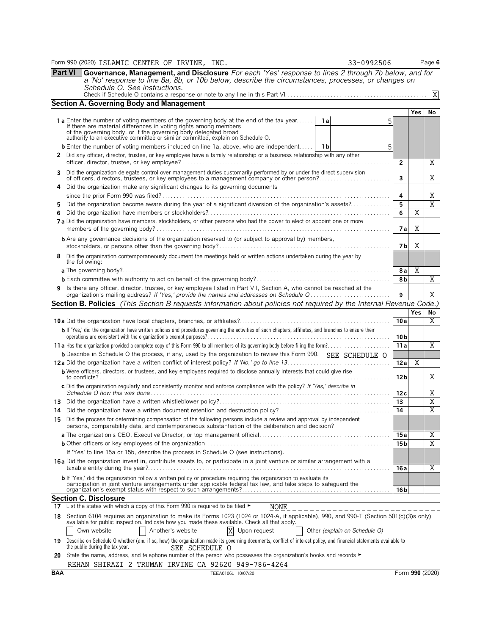Form 990 (2020) Page **6** ISLAMIC CENTER OF IRVINE, INC. 33-0992506

**Part VI Governance, Management, and Disclosure** *For each 'Yes' response to lines 2 through 7b below, and for a 'No' response to line 8a, 8b, or 10b below, describe the circumstances, processes, or changes on Schedule O. See instructions.* Check if Schedule O contains a response or note to any line in this Part VI. . . . . . . . . . . . . . . . . . . . . . . . . . . . . . . . . . . . . . . . . . . . . . . . . . X

| <b>Section A. Governing Body and Management</b> |
|-------------------------------------------------|

|                                                                                                                                                                                                                                            |                                                                                                                                                                                                                                          |                 | <b>Yes</b> | No             |  |  |  |  |  |
|--------------------------------------------------------------------------------------------------------------------------------------------------------------------------------------------------------------------------------------------|------------------------------------------------------------------------------------------------------------------------------------------------------------------------------------------------------------------------------------------|-----------------|------------|----------------|--|--|--|--|--|
|                                                                                                                                                                                                                                            | <b>1a</b> Enter the number of voting members of the governing body at the end of the tax year<br>1a<br>5                                                                                                                                 |                 |            |                |  |  |  |  |  |
|                                                                                                                                                                                                                                            | If there are material differences in voting rights among members of the governing body, or if the governing body delegated broad                                                                                                         |                 |            |                |  |  |  |  |  |
|                                                                                                                                                                                                                                            | authority to an executive committee or similar committee, explain on Schedule O.                                                                                                                                                         |                 |            |                |  |  |  |  |  |
|                                                                                                                                                                                                                                            | <b>b</b> Enter the number of voting members included on line 1a, above, who are independent 1 1b<br>5                                                                                                                                    |                 |            |                |  |  |  |  |  |
|                                                                                                                                                                                                                                            | 2 Did any officer, director, trustee, or key employee have a family relationship or a business relationship with any other                                                                                                               | $\overline{2}$  |            | Χ              |  |  |  |  |  |
| 3                                                                                                                                                                                                                                          | Did the organization delegate control over management duties customarily performed by or under the direct supervision<br>of officers, directors, trustees, or key employees to a management company or other person?                     | 3               |            | X              |  |  |  |  |  |
|                                                                                                                                                                                                                                            | 4 Did the organization make any significant changes to its governing documents                                                                                                                                                           |                 |            |                |  |  |  |  |  |
|                                                                                                                                                                                                                                            |                                                                                                                                                                                                                                          | 4<br>5          |            | Χ<br>Χ         |  |  |  |  |  |
| Did the organization become aware during the year of a significant diversion of the organization's assets?                                                                                                                                 |                                                                                                                                                                                                                                          |                 |            |                |  |  |  |  |  |
|                                                                                                                                                                                                                                            |                                                                                                                                                                                                                                          | 6               | X          |                |  |  |  |  |  |
|                                                                                                                                                                                                                                            | 7a Did the organization have members, stockholders, or other persons who had the power to elect or appoint one or more                                                                                                                   | 7а              | Χ          |                |  |  |  |  |  |
|                                                                                                                                                                                                                                            | <b>b</b> Are any governance decisions of the organization reserved to (or subject to approval by) members,                                                                                                                               | 7 <sub>b</sub>  | Χ          |                |  |  |  |  |  |
| 8                                                                                                                                                                                                                                          | Did the organization contemporaneously document the meetings held or written actions undertaken during the year by<br>the following:                                                                                                     |                 |            |                |  |  |  |  |  |
|                                                                                                                                                                                                                                            |                                                                                                                                                                                                                                          | 8 a<br>8b       | X          | X              |  |  |  |  |  |
|                                                                                                                                                                                                                                            | 9 Is there any officer, director, trustee, or key employee listed in Part VII, Section A, who cannot be reached at the                                                                                                                   |                 |            |                |  |  |  |  |  |
|                                                                                                                                                                                                                                            | Section B. Policies (This Section B requests information about policies not required by the Internal Revenue Code.)                                                                                                                      | 9               |            | Χ              |  |  |  |  |  |
|                                                                                                                                                                                                                                            |                                                                                                                                                                                                                                          |                 | <b>Yes</b> | No             |  |  |  |  |  |
|                                                                                                                                                                                                                                            |                                                                                                                                                                                                                                          | 10a             |            | X              |  |  |  |  |  |
|                                                                                                                                                                                                                                            | b If 'Yes,' did the organization have written policies and procedures governing the activities of such chapters, affiliates, and branches to ensure their                                                                                |                 |            |                |  |  |  |  |  |
|                                                                                                                                                                                                                                            |                                                                                                                                                                                                                                          | 10 <sub>b</sub> |            |                |  |  |  |  |  |
|                                                                                                                                                                                                                                            |                                                                                                                                                                                                                                          | 11a             |            | Χ              |  |  |  |  |  |
|                                                                                                                                                                                                                                            | b Describe in Schedule O the process, if any, used by the organization to review this Form 990. SEE SCHEDULE O                                                                                                                           |                 |            |                |  |  |  |  |  |
|                                                                                                                                                                                                                                            |                                                                                                                                                                                                                                          | 12a             | Χ          |                |  |  |  |  |  |
|                                                                                                                                                                                                                                            | <b>b</b> Were officers, directors, or trustees, and key employees required to disclose annually interests that could give rise                                                                                                           | 12 <sub>b</sub> |            | Χ              |  |  |  |  |  |
|                                                                                                                                                                                                                                            | c Did the organization regularly and consistently monitor and enforce compliance with the policy? If 'Yes,' describe in                                                                                                                  | 12c             |            | X              |  |  |  |  |  |
|                                                                                                                                                                                                                                            |                                                                                                                                                                                                                                          | 13              |            | X              |  |  |  |  |  |
|                                                                                                                                                                                                                                            |                                                                                                                                                                                                                                          | 14              |            | X              |  |  |  |  |  |
|                                                                                                                                                                                                                                            | 15 Did the process for determining compensation of the following persons include a review and approval by independent<br>persons, comparability data, and contemporaneous substantiation of the deliberation and decision?               |                 |            |                |  |  |  |  |  |
|                                                                                                                                                                                                                                            |                                                                                                                                                                                                                                          | 15a             |            | Χ              |  |  |  |  |  |
|                                                                                                                                                                                                                                            |                                                                                                                                                                                                                                          | 15 <sub>b</sub> |            | $\overline{X}$ |  |  |  |  |  |
|                                                                                                                                                                                                                                            | If 'Yes' to line 15a or 15b, describe the process in Schedule O (see instructions).                                                                                                                                                      |                 |            |                |  |  |  |  |  |
|                                                                                                                                                                                                                                            | 16a Did the organization invest in, contribute assets to, or participate in a joint venture or similar arrangement with a<br>taxable entity during the year?                                                                             | 16 a            |            | Y              |  |  |  |  |  |
|                                                                                                                                                                                                                                            | <b>b</b> If 'Yes,' did the organization follow a written policy or procedure requiring the organization to evaluate its<br>participation in joint venture arrangements under applicable federal tax law, and take steps to safeguard the | 16 b            |            |                |  |  |  |  |  |
|                                                                                                                                                                                                                                            | Section C. Disclosure                                                                                                                                                                                                                    |                 |            |                |  |  |  |  |  |
| 17                                                                                                                                                                                                                                         | List the states with which a copy of this Form 990 is required to be filed $\blacktriangleright$<br>NONE                                                                                                                                 |                 |            |                |  |  |  |  |  |
| 18 Section 6104 requires an organization to make its Forms 1023 (1024 or 1024-A, if applicable), 990, and 990-T (Section 501(c)(3)s only)<br>available for public inspection. Indicate how you made these available. Check all that apply. |                                                                                                                                                                                                                                          |                 |            |                |  |  |  |  |  |
|                                                                                                                                                                                                                                            | Own website<br>Another's website<br>Upon request<br>Other (explain on Schedule O)                                                                                                                                                        |                 |            |                |  |  |  |  |  |
| 19                                                                                                                                                                                                                                         | Describe on Schedule O whether (and if so, how) the organization made its governing documents, conflict of interest policy, and financial statements available to<br>the public during the tax year.<br>SEE SCHEDULE O                   |                 |            |                |  |  |  |  |  |
| 20                                                                                                                                                                                                                                         | State the name, address, and telephone number of the person who possesses the organization's books and records ►                                                                                                                         |                 |            |                |  |  |  |  |  |

|            | REHAN | iTRAZT<br>SΗ | TRIJMAN | IRVINE ( | CA | 92620    | 949-786-4264 |                       |
|------------|-------|--------------|---------|----------|----|----------|--------------|-----------------------|
| <b>BAA</b> |       |              |         |          |    | FEA0106L | 10/07/20     | 990<br>(2020)<br>∙orm |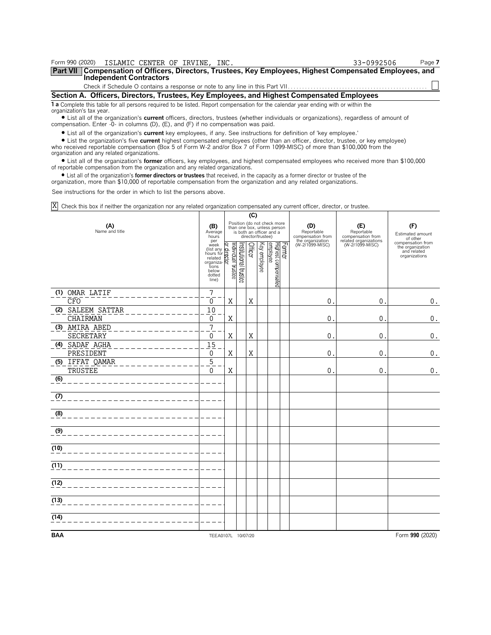| Form 990 (2020)                                                                                                                               | ISLAMIC CENTER OF IRVINE, INC.                                                                                                                                                                                              | 33-0992506 | Page 7 |  |  |  |  |  |  |
|-----------------------------------------------------------------------------------------------------------------------------------------------|-----------------------------------------------------------------------------------------------------------------------------------------------------------------------------------------------------------------------------|------------|--------|--|--|--|--|--|--|
| Part VII   Compensation of Officers, Directors, Trustees, Key Employees, Highest Compensated Employees, and<br><b>Independent Contractors</b> |                                                                                                                                                                                                                             |            |        |  |  |  |  |  |  |
|                                                                                                                                               |                                                                                                                                                                                                                             |            |        |  |  |  |  |  |  |
| Section A. Officers, Directors, Trustees, Key Employees, and Highest Compensated Employees                                                    |                                                                                                                                                                                                                             |            |        |  |  |  |  |  |  |
| organization's tax year.                                                                                                                      | <b>1 a</b> Complete this table for all persons required to be listed. Report compensation for the calendar year ending with or within the                                                                                   |            |        |  |  |  |  |  |  |
|                                                                                                                                               | • List all of the organization's current officers, directors, trustees (whether individuals or organizations), regardless of amount of<br>compensation. Enter -0- in columns (D), (E), and (F) if no compensation was paid. |            |        |  |  |  |  |  |  |
|                                                                                                                                               | • List all of the organization's current key employees, if any. See instructions for definition of 'key employee.'                                                                                                          |            |        |  |  |  |  |  |  |

? List the organization's five **current** highest compensated employees (other than an officer, director, trustee, or key employee) who received reportable compensation (Box 5 of Form W-2 and/or Box 7 of Form 1099-MISC) of more than \$100,000 from the organization and any related organizations.

? List all of the organization's **former** officers, key employees, and highest compensated employees who received more than \$100,000 of reportable compensation from the organization and any related organizations.

? List all of the organization's **former directors or trustees** that received, in the capacity as a former director or trustee of the organization, more than \$10,000 of reportable compensation from the organization and any related organizations.

See instructions for the order in which to list the persons above.

Check this box if neither the organization nor any related organization compensated any current officer, director, or trustee. X

|                       |                                                                                                                                                      | (C)               |                       |                   |              |                                                                                        |        |                                        |                                          |                                                                       |
|-----------------------|------------------------------------------------------------------------------------------------------------------------------------------------------|-------------------|-----------------------|-------------------|--------------|----------------------------------------------------------------------------------------|--------|----------------------------------------|------------------------------------------|-----------------------------------------------------------------------|
| (A)<br>Name and title |                                                                                                                                                      |                   |                       | director/trustee) |              | Position (do not check more<br>than one box, unless person<br>is both an officer and a |        | (D)<br>Reportable<br>compensation from | (E)<br>Reportable<br>compensation from   | (F)<br>Estimated amount<br>of other                                   |
|                       | per<br>week<br>$\frac{\text{week}}{\text{hours for}}$<br>hours for related<br>related<br>organiza-<br>organiza-<br>tions<br>below<br>dotted<br>line) | ndividual trustee | Institutional trustee | <b>Officer</b>    | Key employee | Highest compensated<br>employee                                                        | Former | the organization<br>(W-2/1099-MISC)    | related organizations<br>(W-2/1099-MISC) | compensation from<br>the organization<br>and related<br>organizations |
| (1) OMAR LATIF        | $\overline{7}$                                                                                                                                       |                   |                       |                   |              |                                                                                        |        |                                        |                                          |                                                                       |
| CFO                   | $\Omega$                                                                                                                                             | X                 |                       | Χ                 |              |                                                                                        |        | 0                                      | $\mathbf 0$ .                            | $0_{\cdot}$                                                           |
| SALEEM SATTAR<br>(2)  | 10                                                                                                                                                   |                   |                       |                   |              |                                                                                        |        |                                        |                                          |                                                                       |
| CHAIRMAN              | 0                                                                                                                                                    | X                 |                       |                   |              |                                                                                        |        | 0                                      | $\mathbf 0$ .                            | $\mathbf 0$ .                                                         |
| AMIRA ABED<br>(3)     | $\overline{7}$                                                                                                                                       |                   |                       |                   |              |                                                                                        |        |                                        |                                          |                                                                       |
| SECRETARY             | 0                                                                                                                                                    | X                 |                       | Χ                 |              |                                                                                        |        | 0                                      | $0$ .                                    | 0.                                                                    |
| (4)<br>SADAF AGHA     | 15                                                                                                                                                   |                   |                       |                   |              |                                                                                        |        |                                        |                                          |                                                                       |
| PRESIDENT             | 0                                                                                                                                                    | X                 |                       | Χ                 |              |                                                                                        |        | 0                                      | 0.                                       | 0.                                                                    |
| IFFAT QAMAR<br>(5)    | $\overline{5}$                                                                                                                                       |                   |                       |                   |              |                                                                                        |        |                                        |                                          |                                                                       |
| TRUSTEE               | $\Omega$                                                                                                                                             | X                 |                       |                   |              |                                                                                        |        | 0                                      | $\mathbf 0$ .                            | $\mathbf 0$ .                                                         |
| (6)                   |                                                                                                                                                      |                   |                       |                   |              |                                                                                        |        |                                        |                                          |                                                                       |
| (7)                   |                                                                                                                                                      |                   |                       |                   |              |                                                                                        |        |                                        |                                          |                                                                       |
| (8)                   |                                                                                                                                                      |                   |                       |                   |              |                                                                                        |        |                                        |                                          |                                                                       |
| (9)                   |                                                                                                                                                      |                   |                       |                   |              |                                                                                        |        |                                        |                                          |                                                                       |
| (10)                  |                                                                                                                                                      |                   |                       |                   |              |                                                                                        |        |                                        |                                          |                                                                       |
| (11)                  |                                                                                                                                                      |                   |                       |                   |              |                                                                                        |        |                                        |                                          |                                                                       |
| (12)                  |                                                                                                                                                      |                   |                       |                   |              |                                                                                        |        |                                        |                                          |                                                                       |
| (13)                  |                                                                                                                                                      |                   |                       |                   |              |                                                                                        |        |                                        |                                          |                                                                       |
| (14)                  |                                                                                                                                                      |                   |                       |                   |              |                                                                                        |        |                                        |                                          |                                                                       |
| <b>BAA</b>            | TEEA0107L 10/07/20                                                                                                                                   |                   |                       |                   |              |                                                                                        |        |                                        |                                          | Form 990 (2020)                                                       |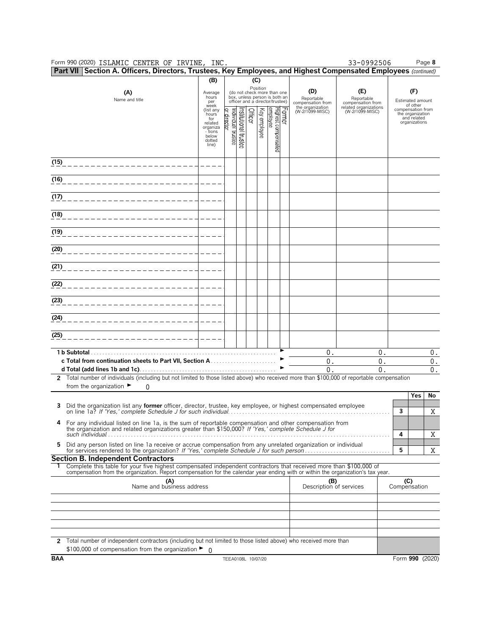Form 990 (2020) ISLAMIC CENTER OF IRVINE,INC. 33-0992506 Page **8** ISLAMIC CENTER OF IRVINE, INC. 33-0992506

**Part VII Section A. Officers, Directors, Trustees, Key Employees, and Highest Compensated Employees** *(continued)*

| 1 GIL VII      | occubii A. Onicci 3, Director 3, Trustees, Tey Employees, and Inghest Obilipensated Employees (Committed)                                                                                     | (B)                                                                 |                                   |                                 |                 |                                                                                                 |        |                                        |                                          |                     |                                                                       |               |
|----------------|-----------------------------------------------------------------------------------------------------------------------------------------------------------------------------------------------|---------------------------------------------------------------------|-----------------------------------|---------------------------------|-----------------|-------------------------------------------------------------------------------------------------|--------|----------------------------------------|------------------------------------------|---------------------|-----------------------------------------------------------------------|---------------|
|                | (A)<br>Name and title                                                                                                                                                                         |                                                                     |                                   |                                 | (C)<br>Position | (do not check more than one<br>box, unless person is both an<br>officer and a director/trustee) |        | (D)<br>Reportable<br>compensation from | (E)<br>Reportable<br>compensation from   |                     | (F)<br>Estimated amount<br>of other                                   |               |
|                |                                                                                                                                                                                               | week<br>(list any<br>hours<br>for<br>related<br>organiza<br>- tions | Individual trustee<br>or director | Officer<br>nstitutional trustee | Key employee    | Highest compensated<br>employee                                                                 | Former | the organization<br>(W-2/1099-MISC)    | related organizations<br>(W-2/1099-MISC) |                     | compensation from<br>the organization<br>and related<br>organizations |               |
|                |                                                                                                                                                                                               | below<br>dotted<br>line)                                            |                                   |                                 |                 |                                                                                                 |        |                                        |                                          |                     |                                                                       |               |
| (15)           |                                                                                                                                                                                               |                                                                     |                                   |                                 |                 |                                                                                                 |        |                                        |                                          |                     |                                                                       |               |
| (16)           |                                                                                                                                                                                               |                                                                     |                                   |                                 |                 |                                                                                                 |        |                                        |                                          |                     |                                                                       |               |
| (17)           |                                                                                                                                                                                               |                                                                     |                                   |                                 |                 |                                                                                                 |        |                                        |                                          |                     |                                                                       |               |
| (18)           |                                                                                                                                                                                               |                                                                     |                                   |                                 |                 |                                                                                                 |        |                                        |                                          |                     |                                                                       |               |
| (19)           |                                                                                                                                                                                               |                                                                     |                                   |                                 |                 |                                                                                                 |        |                                        |                                          |                     |                                                                       |               |
| (20)           |                                                                                                                                                                                               |                                                                     |                                   |                                 |                 |                                                                                                 |        |                                        |                                          |                     |                                                                       |               |
| (21)           | ______________________                                                                                                                                                                        |                                                                     |                                   |                                 |                 |                                                                                                 |        |                                        |                                          |                     |                                                                       |               |
| (22)           |                                                                                                                                                                                               |                                                                     |                                   |                                 |                 |                                                                                                 |        |                                        |                                          |                     |                                                                       |               |
| (23)           |                                                                                                                                                                                               |                                                                     |                                   |                                 |                 |                                                                                                 |        |                                        |                                          |                     |                                                                       |               |
| (24)           |                                                                                                                                                                                               |                                                                     |                                   |                                 |                 |                                                                                                 |        |                                        |                                          |                     |                                                                       |               |
| (25)           |                                                                                                                                                                                               |                                                                     |                                   |                                 |                 |                                                                                                 |        |                                        |                                          |                     |                                                                       |               |
|                |                                                                                                                                                                                               |                                                                     |                                   |                                 |                 |                                                                                                 |        | 0.                                     | 0.                                       |                     |                                                                       | 0.            |
|                |                                                                                                                                                                                               |                                                                     |                                   |                                 |                 |                                                                                                 |        | 0.                                     | 0.                                       |                     |                                                                       | $\mathbf 0$ . |
| $\overline{2}$ | Total number of individuals (including but not limited to those listed above) who received more than \$100,000 of reportable compensation                                                     |                                                                     |                                   |                                 |                 |                                                                                                 |        | $\theta$ .                             | 0.                                       |                     |                                                                       | 0.            |
|                | from the organization $\blacktriangleright$<br><sup>0</sup>                                                                                                                                   |                                                                     |                                   |                                 |                 |                                                                                                 |        |                                        |                                          |                     |                                                                       |               |
| з              | Did the organization list any former officer, director, trustee, key employee, or highest compensated employee                                                                                |                                                                     |                                   |                                 |                 |                                                                                                 |        |                                        |                                          |                     | Yes                                                                   | No            |
| 4              | For any individual listed on line 1a, is the sum of reportable compensation and other compensation from                                                                                       |                                                                     |                                   |                                 |                 |                                                                                                 |        |                                        |                                          | 3                   |                                                                       | Χ             |
|                | the organization and related organizations greater than \$150,000? If 'Yes,' complete Schedule J for<br>such individual                                                                       |                                                                     |                                   |                                 |                 |                                                                                                 |        |                                        |                                          | 4                   |                                                                       | Χ             |
| 5              | Did any person listed on line 1a receive or accrue compensation from any unrelated organization or individual                                                                                 |                                                                     |                                   |                                 |                 |                                                                                                 |        |                                        |                                          | 5                   |                                                                       | X             |
|                | <b>Section B. Independent Contractors</b><br>1 Complete this table for your five highest compensated independent contractors that received more than \$100,000 of                             |                                                                     |                                   |                                 |                 |                                                                                                 |        |                                        |                                          |                     |                                                                       |               |
|                | compensation from the organization. Report compensation for the calendar year ending with or within the organization's tax year.<br>(A)<br>Name and business address                          |                                                                     |                                   |                                 |                 |                                                                                                 |        |                                        | (B)<br>Description of services           | (C)<br>Compensation |                                                                       |               |
|                |                                                                                                                                                                                               |                                                                     |                                   |                                 |                 |                                                                                                 |        |                                        |                                          |                     |                                                                       |               |
|                |                                                                                                                                                                                               |                                                                     |                                   |                                 |                 |                                                                                                 |        |                                        |                                          |                     |                                                                       |               |
|                |                                                                                                                                                                                               |                                                                     |                                   |                                 |                 |                                                                                                 |        |                                        |                                          |                     |                                                                       |               |
|                | 2 Total number of independent contractors (including but not limited to those listed above) who received more than<br>\$100,000 of compensation from the organization $\blacktriangleright$ 0 |                                                                     |                                   |                                 |                 |                                                                                                 |        |                                        |                                          |                     |                                                                       |               |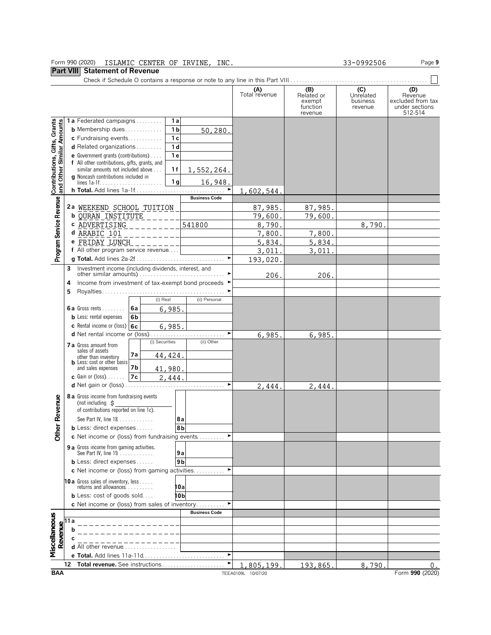### Form 990 (2020) ISLAMIC CENTER OF IRVINE INC. 33-0992506 Page **9** ISLAMIC CENTER OF IRVINE, INC.  $33-0992506$

### **Part VIII Statement of Revenue**

|                                                           |                                               |                                                                                     |                 |          |                |                      | (A)<br>Total revenue | (B)<br>Related or<br>exempt<br>function<br>revenue | (C)<br>Unrelated<br>business<br>revenue | (D)<br>Revenue<br>excluded from tax<br>under sections<br>512-514 |
|-----------------------------------------------------------|-----------------------------------------------|-------------------------------------------------------------------------------------|-----------------|----------|----------------|----------------------|----------------------|----------------------------------------------------|-----------------------------------------|------------------------------------------------------------------|
|                                                           |                                               | 1a Federated campaigns                                                              |                 |          | 1a             |                      |                      |                                                    |                                         |                                                                  |
|                                                           |                                               | <b>b</b> Membership dues                                                            |                 |          | 1 <sub>b</sub> | 50,280               |                      |                                                    |                                         |                                                                  |
|                                                           |                                               | c Fundraising events                                                                |                 |          | 1 <sub>c</sub> |                      |                      |                                                    |                                         |                                                                  |
|                                                           |                                               | <b>d</b> Related organizations $\ldots$                                             |                 |          | 1 <sub>d</sub> |                      |                      |                                                    |                                         |                                                                  |
|                                                           |                                               | <b>e</b> Government grants (contributions) $\ldots$                                 |                 | 1 e      |                |                      |                      |                                                    |                                         |                                                                  |
| Contributions, Gifts, Grants<br>and Other Similar Amounts |                                               | f All other contributions, gifts, grants, and<br>similar amounts not included above |                 |          | 1 f            | 1,552,264.           |                      |                                                    |                                         |                                                                  |
|                                                           |                                               | <b>q</b> Noncash contributions included in                                          |                 |          | 1 <sub>g</sub> | 16,948.              |                      |                                                    |                                         |                                                                  |
|                                                           |                                               |                                                                                     |                 |          |                | ٠                    | 1,602,544.           |                                                    |                                         |                                                                  |
|                                                           |                                               |                                                                                     |                 |          |                | <b>Business Code</b> |                      |                                                    |                                         |                                                                  |
|                                                           |                                               | 2ª WEEKEND SCHOOL TUITION                                                           |                 |          |                |                      | 87,985.              | 87,985.                                            |                                         |                                                                  |
|                                                           |                                               | <b>b QURAN INSTITUTE</b>                                                            |                 |          |                |                      | 79,600.              | 79,600.                                            |                                         |                                                                  |
|                                                           |                                               | c ADVERTISING                                                                       |                 |          |                | 541800               | 8,790                |                                                    | 8,790.                                  |                                                                  |
|                                                           |                                               | d ARABIC 101                                                                        |                 |          |                |                      | 7,800                | 7,800.                                             |                                         |                                                                  |
|                                                           |                                               | e FRIDAY LUNCH                                                                      |                 |          |                |                      | 5,834.               | 5,834.                                             |                                         |                                                                  |
|                                                           |                                               | f All other program service revenue                                                 |                 |          |                |                      | 3,011                | 3,011                                              |                                         |                                                                  |
| Program Service Revenue                                   |                                               |                                                                                     |                 |          |                |                      | 193,020.             |                                                    |                                         |                                                                  |
|                                                           |                                               | Investment income (including dividends, interest, and                               |                 |          |                |                      |                      |                                                    |                                         |                                                                  |
|                                                           | 3                                             |                                                                                     |                 |          |                |                      | 206.                 | 206.                                               |                                         |                                                                  |
|                                                           | 4                                             | Income from investment of tax-exempt bond proceeds ▶                                |                 |          |                |                      |                      |                                                    |                                         |                                                                  |
|                                                           | 5                                             |                                                                                     |                 |          |                |                      |                      |                                                    |                                         |                                                                  |
|                                                           |                                               |                                                                                     |                 | (i) Real |                | (ii) Personal        |                      |                                                    |                                         |                                                                  |
|                                                           |                                               | <b>6a</b> Gross rents $6a$                                                          |                 |          | 6,985.         |                      |                      |                                                    |                                         |                                                                  |
|                                                           |                                               | <b>b</b> Less: rental expenses                                                      | 6b              |          |                |                      |                      |                                                    |                                         |                                                                  |
|                                                           |                                               | c Rental income or (loss) $6c$                                                      |                 |          | 6,985.         |                      |                      |                                                    |                                         |                                                                  |
|                                                           |                                               |                                                                                     |                 |          |                |                      | 6,985.               | 6,985.                                             |                                         |                                                                  |
|                                                           |                                               | (i) Securities<br><b>7 a</b> Gross amount from                                      |                 |          | (ii) Other     |                      |                      |                                                    |                                         |                                                                  |
|                                                           |                                               | sales of assets                                                                     |                 |          |                |                      |                      |                                                    |                                         |                                                                  |
|                                                           |                                               | other than inventory                                                                | 7а              | 44, 424. |                |                      |                      |                                                    |                                         |                                                                  |
|                                                           |                                               | <b>b</b> Less: cost or other basis<br>and sales expenses                            | 7b              | 41,980.  |                |                      |                      |                                                    |                                         |                                                                  |
|                                                           |                                               | <b>c</b> Gain or (loss)                                                             | $\overline{7}c$ |          | 2,444.         |                      |                      |                                                    |                                         |                                                                  |
|                                                           |                                               | <b>d</b> Net gain or (loss).                                                        |                 |          |                |                      | 2,444.               | 2,444                                              |                                         |                                                                  |
|                                                           |                                               | 8 a Gross income from fundraising events                                            |                 |          |                |                      |                      |                                                    |                                         |                                                                  |
|                                                           |                                               | (not including $\mathbf S$                                                          |                 |          |                |                      |                      |                                                    |                                         |                                                                  |
|                                                           |                                               | of contributions reported on line 1c).                                              |                 |          |                |                      |                      |                                                    |                                         |                                                                  |
|                                                           |                                               | See Part IV, line 18                                                                |                 |          | 8a             |                      |                      |                                                    |                                         |                                                                  |
| ther Revenue                                              |                                               | <b>b</b> Less: direct expenses $\ldots$ .                                           |                 |          | 8 <sub>b</sub> |                      |                      |                                                    |                                         |                                                                  |
|                                                           |                                               | c Net income or (loss) from fundraising events                                      |                 |          |                | ►                    |                      |                                                    |                                         |                                                                  |
|                                                           |                                               | <b>9 a</b> Gross income from gaming activities.                                     |                 |          |                |                      |                      |                                                    |                                         |                                                                  |
|                                                           |                                               | See Part IV, line 19                                                                |                 |          | 9а             |                      |                      |                                                    |                                         |                                                                  |
|                                                           |                                               | <b>b</b> Less: direct expenses $\ldots$ .                                           |                 |          | 9b             |                      |                      |                                                    |                                         |                                                                  |
|                                                           |                                               | <b>c</b> Net income or (loss) from gaming activities                                |                 |          |                |                      |                      |                                                    |                                         |                                                                  |
|                                                           |                                               | <b>10a</b> Gross sales of inventory, less                                           |                 |          |                |                      |                      |                                                    |                                         |                                                                  |
|                                                           |                                               | returns and allowances.                                                             |                 |          | 10a            |                      |                      |                                                    |                                         |                                                                  |
|                                                           |                                               | <b>b</b> Less: $cost$ of goods sold                                                 |                 |          | 10b            |                      |                      |                                                    |                                         |                                                                  |
|                                                           |                                               | <b>c</b> Net income or (loss) from sales of inventory                               |                 |          |                |                      |                      |                                                    |                                         |                                                                  |
|                                                           |                                               |                                                                                     |                 |          |                | <b>Business Code</b> |                      |                                                    |                                         |                                                                  |
| Miscellaneous                                             | Revenue<br>$\alpha$ b<br>$\alpha$<br>$\alpha$ |                                                                                     |                 |          |                |                      |                      |                                                    |                                         |                                                                  |
|                                                           |                                               |                                                                                     |                 |          |                |                      |                      |                                                    |                                         |                                                                  |
|                                                           |                                               |                                                                                     |                 |          |                |                      |                      |                                                    |                                         |                                                                  |
|                                                           |                                               | <b>d</b> All other revenue.                                                         |                 |          |                |                      |                      |                                                    |                                         |                                                                  |
|                                                           |                                               |                                                                                     |                 |          |                | ٠                    |                      |                                                    |                                         |                                                                  |
|                                                           | 12                                            | Total revenue. See instructions                                                     |                 |          |                |                      | 1,805,199.           | 193,865.                                           | 8,790.                                  | 0.                                                               |
| <b>BAA</b>                                                |                                               |                                                                                     |                 |          |                |                      | TEEA0109L 10/07/20   |                                                    |                                         | Form 990 (2020)                                                  |

 $\overline{\phantom{0}}$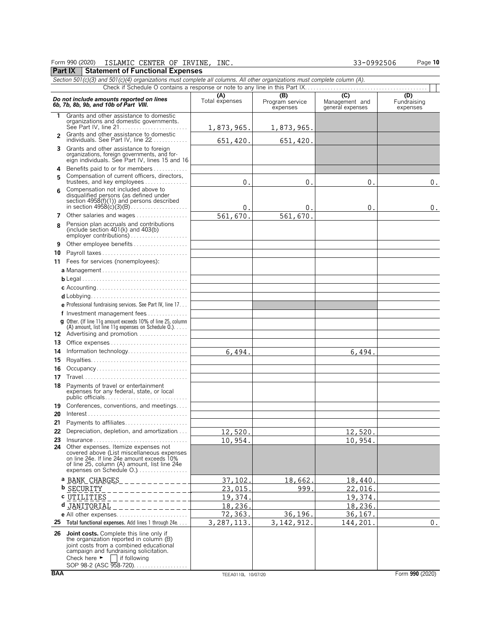### Form 990 (2020) Page **10** ISLAMIC CENTER OF IRVINE, INC. 33-0992506

# **Part IX** | Statement of Functional Expenses

|                | Section 501(c)(3) and 501(c)(4) organizations must complete all columns. All other organizations must complete column (A).                                                                                                                            |                       |                                    |                                                      |                                |
|----------------|-------------------------------------------------------------------------------------------------------------------------------------------------------------------------------------------------------------------------------------------------------|-----------------------|------------------------------------|------------------------------------------------------|--------------------------------|
|                |                                                                                                                                                                                                                                                       |                       |                                    |                                                      |                                |
|                | Do not include amounts reported on lines<br>6b, 7b, 8b, 9b, and 10b of Part VIII.                                                                                                                                                                     | (A)<br>Total expenses | (B)<br>Program service<br>expenses | $\overline{C}$<br>Management and<br>general expenses | (D)<br>Fundraising<br>expenses |
| $\mathbf{1}$   | Grants and other assistance to domestic<br>organizations and domestic governments.                                                                                                                                                                    | 1,873,965.            | 1,873,965.                         |                                                      |                                |
| $\overline{2}$ | Grants and other assistance to domestic<br>individuals. See Part IV, line 22                                                                                                                                                                          | 651,420.              | 651,420.                           |                                                      |                                |
| 3              | Grants and other assistance to foreign<br>organizations, foreign governments, and for-<br>eign individuals. See Part IV, lines 15 and 16                                                                                                              |                       |                                    |                                                      |                                |
| 4<br>5         | Benefits paid to or for members<br>Compensation of current officers, directors,<br>trustees, and key employees                                                                                                                                        | $\mathbf{0}$          | 0                                  | 0 <sub>1</sub>                                       | $\mathbf 0$ .                  |
| 6              | Compensation not included above to<br>disqualified persons (as defined under<br>section 4958(f)(1)) and persons described                                                                                                                             | 0.                    | 0.                                 | 0.                                                   | 0.                             |
| 7              | Other salaries and wages                                                                                                                                                                                                                              | 561,670.              | 561,670.                           |                                                      |                                |
| 8              | Pension plan accruals and contributions<br>(include section $401(k)$ and $403(b)$ )<br>$emplover contributions) \dots \dots \dots \dots \dots \dots \dots \dots$                                                                                      |                       |                                    |                                                      |                                |
| 9              | Other employee benefits                                                                                                                                                                                                                               |                       |                                    |                                                      |                                |
| 10             | Payroll taxes                                                                                                                                                                                                                                         |                       |                                    |                                                      |                                |
|                | 11 Fees for services (nonemployees):                                                                                                                                                                                                                  |                       |                                    |                                                      |                                |
|                |                                                                                                                                                                                                                                                       |                       |                                    |                                                      |                                |
|                |                                                                                                                                                                                                                                                       |                       |                                    |                                                      |                                |
|                |                                                                                                                                                                                                                                                       |                       |                                    |                                                      |                                |
|                |                                                                                                                                                                                                                                                       |                       |                                    |                                                      |                                |
|                |                                                                                                                                                                                                                                                       |                       |                                    |                                                      |                                |
|                | e Professional fundraising services. See Part IV, line 17                                                                                                                                                                                             |                       |                                    |                                                      |                                |
|                | f Investment management fees                                                                                                                                                                                                                          |                       |                                    |                                                      |                                |
|                | g Other. (If line 11g amount exceeds 10% of line 25, column<br>(A) amount, list line 11g expenses on Schedule $0.$ ).                                                                                                                                 |                       |                                    |                                                      |                                |
|                | <b>12</b> Advertising and promotion                                                                                                                                                                                                                   |                       |                                    |                                                      |                                |
| 13             |                                                                                                                                                                                                                                                       |                       |                                    |                                                      |                                |
| 14             | Information technology                                                                                                                                                                                                                                | 6,494.                |                                    | 6,494.                                               |                                |
| 15             |                                                                                                                                                                                                                                                       |                       |                                    |                                                      |                                |
| 16             | Occupancy                                                                                                                                                                                                                                             |                       |                                    |                                                      |                                |
| 17             |                                                                                                                                                                                                                                                       |                       |                                    |                                                      |                                |
| 18             | Payments of travel or entertainment<br>expenses for any federal, state, or local<br>public officials                                                                                                                                                  |                       |                                    |                                                      |                                |
| 19<br>20       | Conferences, conventions, and meetings                                                                                                                                                                                                                |                       |                                    |                                                      |                                |
| 21             | Payments to affiliates                                                                                                                                                                                                                                |                       |                                    |                                                      |                                |
|                | 22 Depreciation, depletion, and amortization                                                                                                                                                                                                          | 12,520.               |                                    | 12,520                                               |                                |
| 23             | Insurance                                                                                                                                                                                                                                             | 10,954.               |                                    | 10,954.                                              |                                |
|                | 24 Other expenses. Itemize expenses not<br>covered above (List miscellaneous expenses<br>on line 24e. If line 24e amount exceeds 10%<br>of line 25, column (A) amount, list line 24e<br>expenses on Schedule O.)                                      |                       |                                    |                                                      |                                |
|                | a BANK CHARGES                                                                                                                                                                                                                                        | 37.102.               | 18,662.                            | 18,440.                                              |                                |
|                | <b>b</b> SECURITY                                                                                                                                                                                                                                     | 23,015                | 999                                | 22,016.                                              |                                |
|                | c <u>UTILITIES</u>                                                                                                                                                                                                                                    | 19,374                |                                    | 19,374                                               |                                |
|                | d JANITORIAL                                                                                                                                                                                                                                          | 18,236.               |                                    | 18,236.                                              |                                |
|                | e All other expenses                                                                                                                                                                                                                                  | 72,363.               | 36,196.                            | 36,167.                                              |                                |
| 25             | Total functional expenses. Add lines 1 through 24e                                                                                                                                                                                                    | 3,287,113.            | 3, 142, 912.                       | 144,201.                                             | 0.                             |
|                |                                                                                                                                                                                                                                                       |                       |                                    |                                                      |                                |
| 26             | Joint costs. Complete this line only if<br>the organization reported in column (B)<br>joint costs from a combined educational<br>campaign and fundraising solicitation.<br>Check here $\blacktriangleright$<br>if following<br>SOP 98-2 (ASC 958-720) |                       |                                    |                                                      |                                |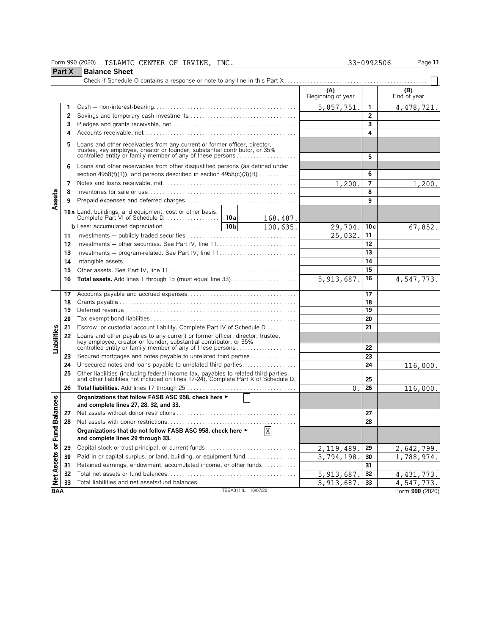### Form 990 (2020) ISLAMIC CENTER OF IRVINE, INC. 33-0992506 Page **11**

**Part X Balance Sheet**<br>Check if Schedule O

|                  | $1$ all $\Lambda$ | Palantt VII                                                                                                                                                                                                        |                    |              |                          |                |                    |
|------------------|-------------------|--------------------------------------------------------------------------------------------------------------------------------------------------------------------------------------------------------------------|--------------------|--------------|--------------------------|----------------|--------------------|
|                  |                   |                                                                                                                                                                                                                    |                    |              | (A)<br>Beginning of year |                | (B)<br>End of year |
|                  | 1                 |                                                                                                                                                                                                                    |                    |              | 5,857,751.               | 1              | 4, 478, 721.       |
|                  | 2                 |                                                                                                                                                                                                                    |                    |              |                          | $\overline{2}$ |                    |
|                  | 3                 |                                                                                                                                                                                                                    |                    |              |                          | 3              |                    |
|                  | 4                 |                                                                                                                                                                                                                    |                    |              |                          | 4              |                    |
|                  | 5                 | Loans and other receivables from any current or former officer, director, trustee, key employee, creator or founder, substantial contributor, or 35%<br>controlled entity or family member of any of these persons |                    |              |                          | 5              |                    |
|                  | 6                 | Loans and other receivables from other disqualified persons (as defined under                                                                                                                                      |                    |              |                          |                |                    |
|                  |                   | section $4958(f)(1)$ , and persons described in section $4958(c)(3)(B)$                                                                                                                                            |                    |              |                          | 6              |                    |
|                  | 7                 |                                                                                                                                                                                                                    |                    |              | 1,200.                   | $\overline{7}$ | 1,200.             |
|                  | 8                 |                                                                                                                                                                                                                    |                    |              |                          | 8              |                    |
| Assets           | 9                 |                                                                                                                                                                                                                    |                    |              |                          | 9              |                    |
|                  |                   |                                                                                                                                                                                                                    |                    | 168,487.     |                          |                |                    |
|                  |                   |                                                                                                                                                                                                                    | 10 <sub>b</sub>    | 100,635.     | 29,704.                  | 10c            | 67,852.            |
|                  | 11                |                                                                                                                                                                                                                    |                    |              | 25,032.                  | 11             |                    |
|                  | 12                |                                                                                                                                                                                                                    |                    |              |                          | 12             |                    |
|                  | 13                | Investments – program-related. See Part IV, line 11                                                                                                                                                                |                    |              | 13                       |                |                    |
|                  | 14                |                                                                                                                                                                                                                    |                    |              | 14                       |                |                    |
|                  | 15                |                                                                                                                                                                                                                    |                    |              | 15                       |                |                    |
|                  | 16                | <b>Total assets.</b> Add lines 1 through 15 (must equal line 33)                                                                                                                                                   |                    | 5, 913, 687. | 16                       | 4,547,773.     |                    |
|                  | 17                |                                                                                                                                                                                                                    |                    |              | 17                       |                |                    |
|                  | 18                |                                                                                                                                                                                                                    |                    |              | 18                       |                |                    |
|                  | 19                |                                                                                                                                                                                                                    |                    |              |                          | 19             |                    |
|                  | 20                |                                                                                                                                                                                                                    |                    |              |                          | 20             |                    |
|                  | 21                | Escrow or custodial account liability. Complete Part IV of Schedule D.                                                                                                                                             |                    |              |                          | 21             |                    |
| Liabilities      | 22                | Loans and other payables to any current or former officer, director, trustee,<br>key employee, creator or founder, substantial contributor, or 35%<br>controlled entity or family member of any of these persons   |                    |              |                          |                |                    |
|                  |                   |                                                                                                                                                                                                                    |                    |              |                          | 22             |                    |
|                  | 23                | Secured mortgages and notes payable to unrelated third parties<br>Unsecured notes and loans payable to unrelated third parties                                                                                     |                    |              |                          | 23<br>24       |                    |
|                  | 24<br>25          |                                                                                                                                                                                                                    |                    |              |                          |                | 116,000.           |
|                  |                   | Other liabilities (including federal income tax, payables to related third parties, and other liabilities not included on lines 17-24). Complete Part X of Schedule D.                                             |                    |              |                          | 25             |                    |
|                  | 26                |                                                                                                                                                                                                                    |                    |              | 0                        | 26             | 116,000.           |
| <b>Balances</b>  |                   | Organizations that follow FASB ASC 958, check here ►<br>and complete lines 27, 28, 32, and 33.                                                                                                                     |                    |              |                          |                |                    |
|                  | 27                |                                                                                                                                                                                                                    |                    |              |                          | 27             |                    |
|                  | 28                |                                                                                                                                                                                                                    |                    |              |                          | 28             |                    |
| ē                |                   | Organizations that do not follow FASB ASC 958, check here ►<br>and complete lines 29 through 33.                                                                                                                   |                    | $\mathbf X$  |                          |                |                    |
| Net Assets or Fu | 29                |                                                                                                                                                                                                                    |                    |              | 2, 119, 489.             | 29             | 2,642,799.         |
|                  | 30                | Paid-in or capital surplus, or land, building, or equipment fund                                                                                                                                                   |                    |              | 3,794,198.               | 30             | 1,788,974.         |
|                  | 31                | Retained earnings, endowment, accumulated income, or other funds                                                                                                                                                   |                    |              |                          | 31             |                    |
|                  | 32                |                                                                                                                                                                                                                    |                    |              | 5, 913, 687.             | 32             | 4, 431, 773.       |
|                  | 33                |                                                                                                                                                                                                                    |                    |              | 5, 913, 687.             | 33             | 4,547,773.         |
| <b>BAA</b>       |                   |                                                                                                                                                                                                                    | TEEA0111L 10/07/20 |              |                          |                | Form 990 (2020)    |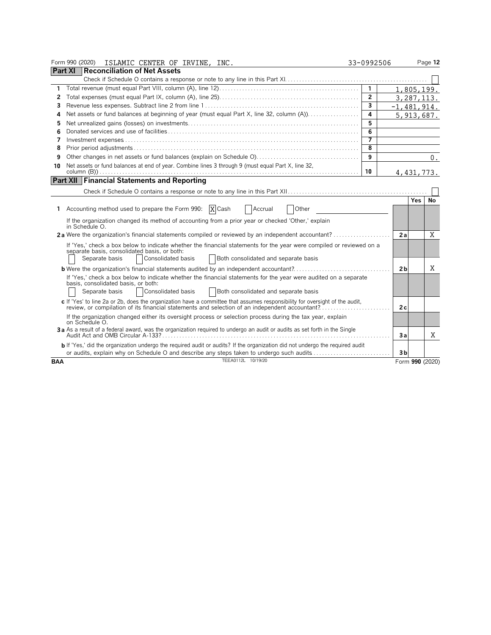|                | Form 990 (2020) ISLAMIC CENTER OF IRVINE, INC.                                                                                                                                                                                                       | 33-0992506     |                 | Page 12 |
|----------------|------------------------------------------------------------------------------------------------------------------------------------------------------------------------------------------------------------------------------------------------------|----------------|-----------------|---------|
| <b>Part XI</b> | Reconciliation of Net Assets                                                                                                                                                                                                                         |                |                 |         |
|                |                                                                                                                                                                                                                                                      |                |                 |         |
| 1              |                                                                                                                                                                                                                                                      | $\overline{1}$ | 1,805,199.      |         |
| 2              |                                                                                                                                                                                                                                                      | $\overline{2}$ | 3,287,113.      |         |
| 3              |                                                                                                                                                                                                                                                      | 3              | $-1,481,914.$   |         |
| 4              | Net assets or fund balances at beginning of year (must equal Part X, line 32, column (A))                                                                                                                                                            | 4              | 5, 913, 687.    |         |
| 5              |                                                                                                                                                                                                                                                      | 5              |                 |         |
| 6              |                                                                                                                                                                                                                                                      | 6              |                 |         |
| 7              |                                                                                                                                                                                                                                                      | $\overline{ }$ |                 |         |
| 8              |                                                                                                                                                                                                                                                      | 8              |                 |         |
| 9              |                                                                                                                                                                                                                                                      | 9              |                 | 0.      |
| 10             | Net assets or fund balances at end of year. Combine lines 3 through 9 (must equal Part X, line 32,                                                                                                                                                   |                |                 |         |
|                |                                                                                                                                                                                                                                                      | 10             | 4, 431, 773.    |         |
|                | <b>Part XII Financial Statements and Reporting</b>                                                                                                                                                                                                   |                |                 |         |
|                |                                                                                                                                                                                                                                                      |                |                 |         |
|                |                                                                                                                                                                                                                                                      |                | Yes             | No      |
|                | 1 Accounting method used to prepare the Form 990:<br>X Cash<br>Accrual<br>Other                                                                                                                                                                      |                |                 |         |
|                | If the organization changed its method of accounting from a prior year or checked 'Other,' explain<br>in Schedule O.                                                                                                                                 |                |                 |         |
|                | 2a Were the organization's financial statements compiled or reviewed by an independent accountant?                                                                                                                                                   |                | 2a              | X       |
|                | If 'Yes,' check a box below to indicate whether the financial statements for the year were compiled or reviewed on a<br>separate basis, consolidated basis, or both:<br>Consolidated basis<br>Separate basis<br>Both consolidated and separate basis |                |                 |         |
|                | <b>b</b> Were the organization's financial statements audited by an independent accountant?                                                                                                                                                          |                | 2 <sub>b</sub>  | Χ       |
|                | If 'Yes,' check a box below to indicate whether the financial statements for the year were audited on a separate<br>basis, consolidated basis, or both:<br>Consolidated basis<br>Separate basis<br>Both consolidated and separate basis              |                |                 |         |
|                | c If 'Yes' to line 2a or 2b, does the organization have a committee that assumes responsibility for oversight of the audit,<br>review, or compilation of its financial statements and selection of an independent accountant?                        |                | 2с              |         |
|                | If the organization changed either its oversight process or selection process during the tax year, explain<br>on Schedule O.                                                                                                                         |                |                 |         |
|                | 3a As a result of a federal award, was the organization required to undergo an audit or audits as set forth in the Single                                                                                                                            |                | Зa              | X       |
|                | <b>b</b> If 'Yes,' did the organization undergo the required audit or audits? If the organization did not undergo the required audit<br>or audits, explain why on Schedule O and describe any steps taken to undergo such audits                     |                | 3 <sub>b</sub>  |         |
| <b>BAA</b>     | TEEA0112L 10/19/20                                                                                                                                                                                                                                   |                | Form 990 (2020) |         |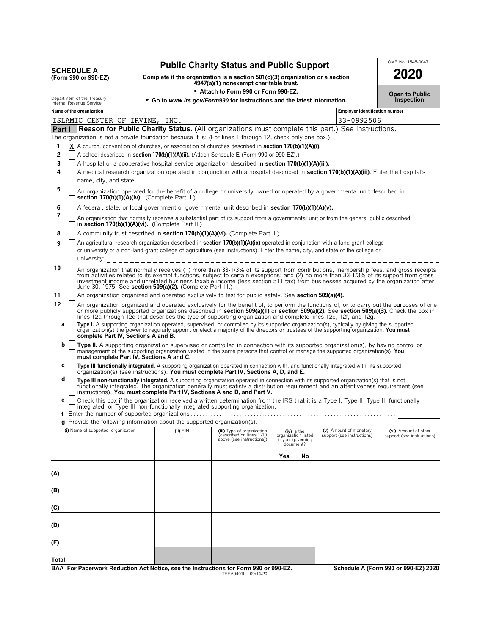|                   | <b>Public Charity Status and Public Support</b> | OMB No. 1545-0047 |
|-------------------|-------------------------------------------------|-------------------|
| <b>SCHEDULE A</b> |                                                 | 2020              |

**(C)**

**(D)**

**(E)**

**Total**

| SCHEDULE A<br>(Form 990 or 990-EZ) 1 | Complete if the organization is a section $501(c)(3)$ organization or a section | 2020 |
|--------------------------------------|---------------------------------------------------------------------------------|------|
|                                      | 4947(a)(1) nonexempt charitable trust.                                          |      |
|                                      | $\triangleright$ Attach to Form 880 or Form 880 F7                              |      |

| <b>Open to Public</b> |
|-----------------------|
| <b>Inspection</b>     |

| ► Attach to Form 990 or Form 990-EZ. |                                                                                                                                                                            |                                          |                                                                                         |                                                                                                                                                                                                                                                                                                                                                                                                                    |  | <b>Open to Public</b>                                                |                                                      |                                                                                                                                         |
|--------------------------------------|----------------------------------------------------------------------------------------------------------------------------------------------------------------------------|------------------------------------------|-----------------------------------------------------------------------------------------|--------------------------------------------------------------------------------------------------------------------------------------------------------------------------------------------------------------------------------------------------------------------------------------------------------------------------------------------------------------------------------------------------------------------|--|----------------------------------------------------------------------|------------------------------------------------------|-----------------------------------------------------------------------------------------------------------------------------------------|
|                                      | Department of the Treasury<br>Internal Revenue Service                                                                                                                     |                                          |                                                                                         | $\triangleright$ Go to www.irs.gov/Form990 for instructions and the latest information.                                                                                                                                                                                                                                                                                                                            |  |                                                                      |                                                      | Inspection                                                                                                                              |
|                                      | Name of the organization                                                                                                                                                   |                                          |                                                                                         |                                                                                                                                                                                                                                                                                                                                                                                                                    |  |                                                                      | <b>Employer identification number</b>                |                                                                                                                                         |
|                                      | ISLAMIC CENTER OF IRVINE, INC.                                                                                                                                             |                                          |                                                                                         |                                                                                                                                                                                                                                                                                                                                                                                                                    |  |                                                                      | 33-0992506                                           |                                                                                                                                         |
| Part I                               |                                                                                                                                                                            |                                          |                                                                                         | Reason for Public Charity Status. (All organizations must complete this part.) See instructions.                                                                                                                                                                                                                                                                                                                   |  |                                                                      |                                                      |                                                                                                                                         |
|                                      |                                                                                                                                                                            |                                          |                                                                                         | The organization is not a private foundation because it is: (For lines 1 through 12, check only one box.)                                                                                                                                                                                                                                                                                                          |  |                                                                      |                                                      |                                                                                                                                         |
| 1                                    |                                                                                                                                                                            |                                          |                                                                                         | A church, convention of churches, or association of churches described in <b>section 170(b)(1)(A)(i).</b>                                                                                                                                                                                                                                                                                                          |  |                                                                      |                                                      |                                                                                                                                         |
| $\overline{2}$                       |                                                                                                                                                                            |                                          |                                                                                         | A school described in section 170(b)(1)(A)(ii). (Attach Schedule E (Form 990 or 990-EZ).)                                                                                                                                                                                                                                                                                                                          |  |                                                                      |                                                      |                                                                                                                                         |
| 3                                    | A hospital or a cooperative hospital service organization described in <b>section 170(b)(1)(A)(iii).</b>                                                                   |                                          |                                                                                         |                                                                                                                                                                                                                                                                                                                                                                                                                    |  |                                                                      |                                                      |                                                                                                                                         |
| 4                                    | A medical research organization operated in conjunction with a hospital described in <b>section 170(b)(1)(A)(iii)</b> . Enter the hospital's                               |                                          |                                                                                         |                                                                                                                                                                                                                                                                                                                                                                                                                    |  |                                                                      |                                                      |                                                                                                                                         |
|                                      | name, city, and state:                                                                                                                                                     |                                          |                                                                                         |                                                                                                                                                                                                                                                                                                                                                                                                                    |  |                                                                      |                                                      |                                                                                                                                         |
| 5                                    | An organization operated for the benefit of a college or university owned or operated by a governmental unit described in<br>section 170(b)(1)(A)(iv). (Complete Part II.) |                                          |                                                                                         |                                                                                                                                                                                                                                                                                                                                                                                                                    |  |                                                                      |                                                      |                                                                                                                                         |
| 6<br>7                               |                                                                                                                                                                            |                                          |                                                                                         | A federal, state, or local government or governmental unit described in <b>section 170(b)(1)(A)(v).</b>                                                                                                                                                                                                                                                                                                            |  |                                                                      |                                                      |                                                                                                                                         |
|                                      |                                                                                                                                                                            |                                          | in section $170(b)(1)(A)(vi)$ . (Complete Part II.)                                     | An organization that normally receives a substantial part of its support from a governmental unit or from the general public described                                                                                                                                                                                                                                                                             |  |                                                                      |                                                      |                                                                                                                                         |
| 8                                    |                                                                                                                                                                            |                                          |                                                                                         | A community trust described in section 170(b)(1)(A)(vi). (Complete Part II.)                                                                                                                                                                                                                                                                                                                                       |  |                                                                      |                                                      |                                                                                                                                         |
| 9                                    |                                                                                                                                                                            |                                          |                                                                                         | An agricultural research organization described in <b>section 170(b)(1)(A)(ix)</b> operated in conjunction with a land-grant college                                                                                                                                                                                                                                                                               |  |                                                                      |                                                      |                                                                                                                                         |
|                                      |                                                                                                                                                                            |                                          |                                                                                         | or university or a non-land-grant college of agriculture (see instructions). Enter the name, city, and state of the college or                                                                                                                                                                                                                                                                                     |  |                                                                      |                                                      |                                                                                                                                         |
|                                      | university:                                                                                                                                                                |                                          |                                                                                         |                                                                                                                                                                                                                                                                                                                                                                                                                    |  |                                                                      |                                                      |                                                                                                                                         |
| 10                                   |                                                                                                                                                                            |                                          | June 30, 1975. See section 509(a)(2). (Complete Part III.)                              | An organization that normally receives (1) more than 33-1/3% of its support from contributions, membership fees, and gross receipts<br>from activities related to its exempt functions, subject to certain exceptions; and (2) no more than 33-1/3% of its support from gross<br>investment income and unrelated business taxable income (less section 511 tax) from businesses acquired by the organization after |  |                                                                      |                                                      |                                                                                                                                         |
| 11                                   |                                                                                                                                                                            |                                          |                                                                                         | An organization organized and operated exclusively to test for public safety. See section 509(a)(4).                                                                                                                                                                                                                                                                                                               |  |                                                                      |                                                      |                                                                                                                                         |
| 12                                   |                                                                                                                                                                            |                                          |                                                                                         | or more publicly supported organizations described in section 509(a)(1) or section 509(a)(2). See section 509(a)(3). Check the box in<br>lines 12a through 12d that describes the type of supporting organization and complete lines 12e, 12f, and 12g.                                                                                                                                                            |  |                                                                      |                                                      | An organization organized and operated exclusively for the benefit of, to perform the functions of, or to carry out the purposes of one |
| a                                    |                                                                                                                                                                            | complete Part IV, Sections A and B.      |                                                                                         | Type I. A supporting organization operated, supervised, or controlled by its supported organization(s), typically by giving the supported<br>organization(s) the power to regularly appoint or elect a majority of the directors or trustees of the supporting organization. You must                                                                                                                              |  |                                                                      |                                                      |                                                                                                                                         |
| b                                    |                                                                                                                                                                            | must complete Part IV, Sections A and C. |                                                                                         | Type II. A supporting organization supervised or controlled in connection with its supported organization(s), by having control or<br>management of the supporting organization vested in the same persons that control or manage the supported organization(s). You                                                                                                                                               |  |                                                                      |                                                      |                                                                                                                                         |
| C                                    |                                                                                                                                                                            |                                          |                                                                                         | Type III functionally integrated. A supporting organization operated in connection with, and functionally integrated with, its supported<br>organization(s) (see instructions). You must complete Part IV, Sections A, D, and E.                                                                                                                                                                                   |  |                                                                      |                                                      |                                                                                                                                         |
| d                                    |                                                                                                                                                                            |                                          |                                                                                         | Type III non-functionally integrated. A supporting organization operated in connection with its supported organization(s) that is not<br>functionally integrated. The organization generally must satisfy a distribution requirement and an attentiveness requirement (see<br>instructions). You must complete Part IV, Sections A and D, and Part V.                                                              |  |                                                                      |                                                      |                                                                                                                                         |
| е                                    |                                                                                                                                                                            |                                          |                                                                                         | Check this box if the organization received a written determination from the IRS that it is a Type I, Type II, Type III functionally<br>integrated, or Type III non-functionally integrated supporting organization.                                                                                                                                                                                               |  |                                                                      |                                                      |                                                                                                                                         |
|                                      |                                                                                                                                                                            |                                          |                                                                                         |                                                                                                                                                                                                                                                                                                                                                                                                                    |  |                                                                      |                                                      |                                                                                                                                         |
|                                      |                                                                                                                                                                            |                                          | $\boldsymbol{q}$ Provide the following information about the supported organization(s). |                                                                                                                                                                                                                                                                                                                                                                                                                    |  |                                                                      |                                                      |                                                                                                                                         |
|                                      | (i) Name of supported organization                                                                                                                                         |                                          | $(ii)$ $EIN$                                                                            | (iii) Type of organization<br>described on lines 1-10<br>above (see instructions))                                                                                                                                                                                                                                                                                                                                 |  | (iv) is the<br>organization listed<br>in your governing<br>document? | (v) Amount of monetary<br>support (see instructions) | (vi) Amount of other<br>support (see instructions)                                                                                      |
|                                      | Yes<br>No                                                                                                                                                                  |                                          |                                                                                         |                                                                                                                                                                                                                                                                                                                                                                                                                    |  |                                                                      |                                                      |                                                                                                                                         |
|                                      |                                                                                                                                                                            |                                          |                                                                                         |                                                                                                                                                                                                                                                                                                                                                                                                                    |  |                                                                      |                                                      |                                                                                                                                         |
| (A)                                  |                                                                                                                                                                            |                                          |                                                                                         |                                                                                                                                                                                                                                                                                                                                                                                                                    |  |                                                                      |                                                      |                                                                                                                                         |
|                                      |                                                                                                                                                                            |                                          |                                                                                         |                                                                                                                                                                                                                                                                                                                                                                                                                    |  |                                                                      |                                                      |                                                                                                                                         |
| (B)                                  |                                                                                                                                                                            |                                          |                                                                                         |                                                                                                                                                                                                                                                                                                                                                                                                                    |  |                                                                      |                                                      |                                                                                                                                         |
|                                      |                                                                                                                                                                            |                                          |                                                                                         |                                                                                                                                                                                                                                                                                                                                                                                                                    |  |                                                                      |                                                      |                                                                                                                                         |

**BAA For Paperwork Reduction Act Notice, see the Instructions for Form 990 or 990-EZ. Schedule A (Form 990 or 990-EZ) 2020** TEEA0401L 09/14/20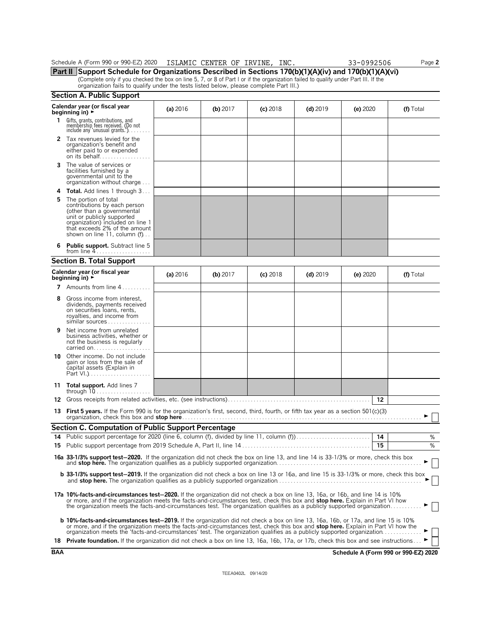| Schedule | (Form 990 or 990-EZ)<br>2020 | ISLAMIC | <b>CENTER</b><br>ΟF | IRVINE | INC. | ባ992506 | $\mathsf{a}$ ade $\mathsf{a}$ |
|----------|------------------------------|---------|---------------------|--------|------|---------|-------------------------------|
|          |                              |         |                     |        |      |         |                               |

**Part II Support Schedule for Organizations Described in Sections 170(b)(1)(A)(iv) and 170(b)(1)(A)(vi)** (Complete only if you checked the box on line 5, 7, or 8 of Part I or if the organization failed to qualify under Part III. If the<br>organization fails to qualify under the tests listed below, please complete Part III.)

|            | <b>Section A. Public Support</b>                                                                                                                                                                                                                                                                                                                                                                               |          |            |            |            |                                      |           |
|------------|----------------------------------------------------------------------------------------------------------------------------------------------------------------------------------------------------------------------------------------------------------------------------------------------------------------------------------------------------------------------------------------------------------------|----------|------------|------------|------------|--------------------------------------|-----------|
|            | Calendar year (or fiscal year<br>beginning in) $\rightarrow$                                                                                                                                                                                                                                                                                                                                                   | (a) 2016 | (b) $2017$ | $(c)$ 2018 | $(d)$ 2019 | (e) $2020$                           | (f) Total |
| 1          | Gifts, grants, contributions, and<br>membership fees received. (Do not<br>include any 'unusual grants.')                                                                                                                                                                                                                                                                                                       |          |            |            |            |                                      |           |
|            | 2 Tax revenues levied for the<br>organization's benefit and<br>either paid to or expended<br>on its behalf                                                                                                                                                                                                                                                                                                     |          |            |            |            |                                      |           |
| 3          | The value of services or<br>facilities furnished by a<br>governmental unit to the<br>organization without charge                                                                                                                                                                                                                                                                                               |          |            |            |            |                                      |           |
| 4          | <b>Total.</b> Add lines 1 through 3                                                                                                                                                                                                                                                                                                                                                                            |          |            |            |            |                                      |           |
| 5          | The portion of total<br>contributions by each person<br>(other than a governmental<br>unit or publicly supported<br>organization) included on line 1<br>that exceeds 2% of the amount<br>shown on line 11, column $(f)$                                                                                                                                                                                        |          |            |            |            |                                      |           |
| 6          | Public support. Subtract line 5                                                                                                                                                                                                                                                                                                                                                                                |          |            |            |            |                                      |           |
|            | <b>Section B. Total Support</b>                                                                                                                                                                                                                                                                                                                                                                                |          |            |            |            |                                      |           |
|            | Calendar year (or fiscal year<br>beginning in) $\blacktriangleright$                                                                                                                                                                                                                                                                                                                                           | (a) 2016 | $(b)$ 2017 | $(c)$ 2018 | $(d)$ 2019 | (e) $2020$                           | (f) Total |
| 7          | Amounts from line 4                                                                                                                                                                                                                                                                                                                                                                                            |          |            |            |            |                                      |           |
| 8          | Gross income from interest,<br>dividends, payments received<br>on securities loans, rents,<br>royalties, and income from<br>similar sources                                                                                                                                                                                                                                                                    |          |            |            |            |                                      |           |
| 9          | Net income from unrelated<br>business activities, whether or<br>not the business is regularly<br>carried on                                                                                                                                                                                                                                                                                                    |          |            |            |            |                                      |           |
|            | <b>10</b> Other income. Do not include<br>gain or loss from the sale of<br>capital assets (Explain in                                                                                                                                                                                                                                                                                                          |          |            |            |            |                                      |           |
|            | 11 Total support. Add lines 7                                                                                                                                                                                                                                                                                                                                                                                  |          |            |            |            |                                      |           |
|            |                                                                                                                                                                                                                                                                                                                                                                                                                |          |            |            |            | -12                                  |           |
|            | 13 First 5 years. If the Form 990 is for the organization's first, second, third, fourth, or fifth tax year as a section 501(c)(3)                                                                                                                                                                                                                                                                             |          |            |            |            |                                      |           |
|            | <b>Section C. Computation of Public Support Percentage</b>                                                                                                                                                                                                                                                                                                                                                     |          |            |            |            |                                      |           |
| 14         |                                                                                                                                                                                                                                                                                                                                                                                                                |          |            |            |            |                                      | %<br>%    |
|            |                                                                                                                                                                                                                                                                                                                                                                                                                |          |            |            |            | 15                                   |           |
|            | 16a 33-1/3% support test-2020. If the organization did not check the box on line 13, and line 14 is 33-1/3% or more, check this box                                                                                                                                                                                                                                                                            |          |            |            |            |                                      |           |
|            | <b>b</b> 33-1/3% support test-2019. If the organization did not check a box on line 13 or 16a, and line 15 is 33-1/3% or more, check this box                                                                                                                                                                                                                                                                  |          |            |            |            |                                      |           |
|            | 17a 10%-facts-and-circumstances test-2020. If the organization did not check a box on line 13, 16a, or 16b, and line 14 is 10%<br>or more, and if the organization meets the facts-and-circumstances test, check this box and stop here. Explain in Part VI how<br>the organization meets the facts-and-circumstances test. The organization qualifies as a publicly supported organization                    |          |            |            |            |                                      |           |
|            | <b>b 10%-facts-and-circumstances test-2019.</b> If the organization did not check a box on line 13, 16a, 16b, or 17a, and line 15 is 10%<br>or more, and if the organization meets the facts-and-circumstances test, check this box and <b>stop here.</b> Explain in Part VI how the<br>organization meets the 'facts-and-circumstances' test. The organization qualifies as a publicly supported organization |          |            |            |            |                                      |           |
|            | 18 Private foundation. If the organization did not check a box on line 13, 16a, 16b, 17a, or 17b, check this box and see instructions                                                                                                                                                                                                                                                                          |          |            |            |            |                                      |           |
| <b>BAA</b> |                                                                                                                                                                                                                                                                                                                                                                                                                |          |            |            |            | Schedule A (Form 990 or 990-EZ) 2020 |           |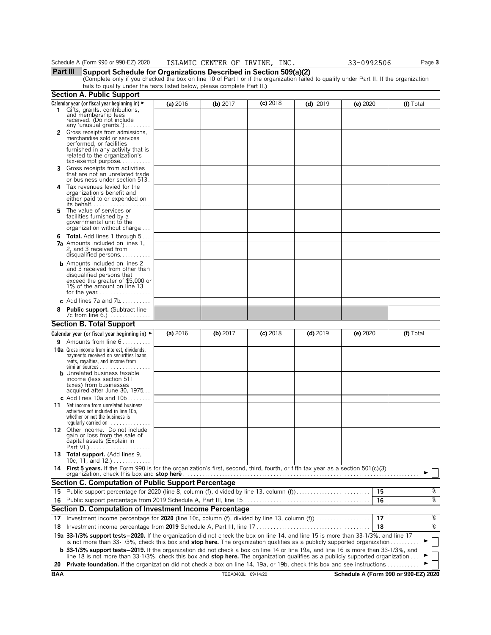**Part III Support Schedule for Organizations Described in Section 509(a)(2)**<br>(Complete only if you checked the box on line 10 of Part I or if the organization failed to qualify under Part II. If the organization fails to qualify under the tests listed below, please complete Part II.)

|    | <b>Section A. Public Support</b>                                                                                                                                                                                                                                                                                                                                                                                                           |            |            |            |            |          |           |
|----|--------------------------------------------------------------------------------------------------------------------------------------------------------------------------------------------------------------------------------------------------------------------------------------------------------------------------------------------------------------------------------------------------------------------------------------------|------------|------------|------------|------------|----------|-----------|
|    | Calendar year (or fiscal year beginning in) ►                                                                                                                                                                                                                                                                                                                                                                                              | (a) 2016   | (b) 2017   | $(c)$ 2018 | $(d)$ 2019 | (e) 2020 | (f) Total |
| 1. | Gifts, grants, contributions,<br>and membership fees<br>received. (Do not include<br>any 'unusual grants.')                                                                                                                                                                                                                                                                                                                                |            |            |            |            |          |           |
|    | Gross receipts from admissions,<br>merchandise sold or services<br>performed, or facilities<br>furnished in any activity that is<br>related to the organization's<br>$tax\text{-}exempt$ purpose                                                                                                                                                                                                                                           |            |            |            |            |          |           |
| 3. | Gross receipts from activities<br>that are not an unrelated trade<br>or business under section 513.                                                                                                                                                                                                                                                                                                                                        |            |            |            |            |          |           |
| 4  | Tax revenues levied for the<br>organization's benefit and<br>either paid to or expended on<br>its behalf                                                                                                                                                                                                                                                                                                                                   |            |            |            |            |          |           |
| 5  | The value of services or<br>facilities furnished by a<br>governmental unit to the<br>organization without charge                                                                                                                                                                                                                                                                                                                           |            |            |            |            |          |           |
|    | <b>6 Total.</b> Add lines 1 through 5<br>7a Amounts included on lines 1,<br>2, and 3 received from<br>disqualified persons                                                                                                                                                                                                                                                                                                                 |            |            |            |            |          |           |
|    | <b>b</b> Amounts included on lines 2<br>and 3 received from other than<br>disqualified persons that<br>exceed the greater of \$5,000 or<br>1% of the amount on line 13                                                                                                                                                                                                                                                                     |            |            |            |            |          |           |
|    | c Add lines $7a$ and $7b$                                                                                                                                                                                                                                                                                                                                                                                                                  |            |            |            |            |          |           |
| 8  | Public support. (Subtract line                                                                                                                                                                                                                                                                                                                                                                                                             |            |            |            |            |          |           |
|    | <b>Section B. Total Support</b>                                                                                                                                                                                                                                                                                                                                                                                                            |            |            |            |            |          |           |
|    | Calendar year (or fiscal year beginning in) $\blacktriangleright$                                                                                                                                                                                                                                                                                                                                                                          | (a) $2016$ | (b) $2017$ | $(c)$ 2018 | $(d)$ 2019 | (e) 2020 | (f) Total |
|    | <b>9</b> Amounts from line $6 \ldots \ldots$                                                                                                                                                                                                                                                                                                                                                                                               |            |            |            |            |          |           |
|    | <b>10a</b> Gross income from interest, dividends,<br>payments received on securities loans,<br>rents, royalties, and income from<br>similar sources                                                                                                                                                                                                                                                                                        |            |            |            |            |          |           |
|    | <b>b</b> Unrelated business taxable<br>income (less section 511<br>taxes) from businesses<br>acquired after June 30, 1975                                                                                                                                                                                                                                                                                                                  |            |            |            |            |          |           |
| 11 | c Add lines 10a and $10b$<br>Net income from unrelated business<br>activities not included in line 10b.<br>whether or not the business is<br>regularly carried on                                                                                                                                                                                                                                                                          |            |            |            |            |          |           |
|    | 12 Other income. Do not include<br>gain or loss from the sale of<br>capital assets (Explain in<br>Part VI.)                                                                                                                                                                                                                                                                                                                                |            |            |            |            |          |           |
|    | 13 Total support. (Add lines 9,<br>10c, 11, and $12.$ )                                                                                                                                                                                                                                                                                                                                                                                    |            |            |            |            |          |           |
|    | 14 First 5 years. If the Form 990 is for the organization's first, second, third, fourth, or fifth tax year as a section 501(c)(3)<br>organization, check this box and <b>stop here</b> ……………………………………………………………………………………                                                                                                                                                                                                                   |            |            |            |            |          |           |
|    | <b>Section C. Computation of Public Support Percentage</b>                                                                                                                                                                                                                                                                                                                                                                                 |            |            |            |            |          |           |
|    |                                                                                                                                                                                                                                                                                                                                                                                                                                            |            |            |            |            | 15       | နွ        |
| 16 |                                                                                                                                                                                                                                                                                                                                                                                                                                            |            |            |            |            | 16       | ०७        |
|    | Section D. Computation of Investment Income Percentage                                                                                                                                                                                                                                                                                                                                                                                     |            |            |            |            |          |           |
| 17 |                                                                                                                                                                                                                                                                                                                                                                                                                                            |            |            |            |            | 17       | နွ<br>०७  |
| 18 |                                                                                                                                                                                                                                                                                                                                                                                                                                            |            |            |            |            | 18       |           |
|    | 19a 33-1/3% support tests-2020. If the organization did not check the box on line 14, and line 15 is more than 33-1/3%, and line 17<br>is not more than 33-1/3%, check this box and <b>stop here.</b> The organization qualifies as a publicly supported organization $\ldots \ldots \ldots$<br><b>b</b> 33-1/3% support tests–2019. If the organization did not check a box on line 14 or line 19a, and line 16 is more than 33-1/3%, and |            |            |            |            |          |           |
|    | line 18 is not more than 33-1/3%, check this box and <b>stop here.</b> The organization qualifies as a publicly supported organization                                                                                                                                                                                                                                                                                                     |            |            |            |            |          |           |
|    | <b>20 Private foundation.</b> If the organization did not check a box on line 14, 19a, or 19b, check this box and see instructions                                                                                                                                                                                                                                                                                                         |            |            |            |            |          |           |

**BAA** TEEA0403L 09/14/20 **Schedule A (Form 990 or 990-EZ) 2020**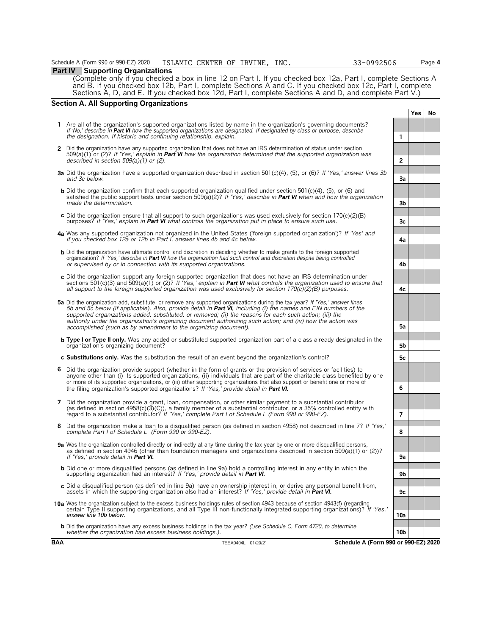**Part IV** Supporting Organizations (Complete only if you checked a box in line 12 on Part I. If you checked box 12a, Part I, complete Sections A and B. If you checked box 12b, Part I, complete Sections A and C. If you checked box 12c, Part I, complete Sections A, D, and E. If you checked box 12d, Part I, complete Sections A and D, and complete Part V.)

### **Section A. All Supporting Organizations**

|   |                                                                                                                                                                                                                                                                                                                                                                                                                                                                                                                                                      |                | Yes. | No |
|---|------------------------------------------------------------------------------------------------------------------------------------------------------------------------------------------------------------------------------------------------------------------------------------------------------------------------------------------------------------------------------------------------------------------------------------------------------------------------------------------------------------------------------------------------------|----------------|------|----|
|   | 1 Are all of the organization's supported organizations listed by name in the organization's governing documents?<br>If 'No,' describe in Part VI how the supported organizations are designated. If designated by class or purpose, describe<br>the designation. If historic and continuing relationship, explain.                                                                                                                                                                                                                                  | 1              |      |    |
|   | 2 Did the organization have any supported organization that does not have an IRS determination of status under section<br>509(a)(1) or (2)? If 'Yes,' explain in <b>Part VI</b> how the organization determined that the supported organization was<br>described in section $509(a)(1)$ or (2).                                                                                                                                                                                                                                                      | $\overline{2}$ |      |    |
|   | <b>3a</b> Did the organization have a supported organization described in section 501(c)(4), (5), or (6)? If 'Yes,' answer lines 3b<br>and 3c below.                                                                                                                                                                                                                                                                                                                                                                                                 | 3a             |      |    |
|   | <b>b</b> Did the organization confirm that each supported organization qualified under section 501(c)(4), (5), or (6) and<br>satisfied the public support tests under section $509(a)(2)$ ? If 'Yes,' describe in <b>Part VI</b> when and how the organization<br>made the determination.                                                                                                                                                                                                                                                            | 3b             |      |    |
|   | c Did the organization ensure that all support to such organizations was used exclusively for section $170(c)(2)(B)$<br>purposes? If 'Yes,' explain in <b>Part VI</b> what controls the organization put in place to ensure such use.                                                                                                                                                                                                                                                                                                                | 3 <sub>c</sub> |      |    |
|   | 4a Was any supported organization not organized in the United States ('foreign supported organization')? If 'Yes' and<br>if you checked box 12a or 12b in Part I, answer lines 4b and 4c below.                                                                                                                                                                                                                                                                                                                                                      | 4a             |      |    |
|   | <b>b</b> Did the organization have ultimate control and discretion in deciding whether to make grants to the foreign supported<br>organization? If 'Yes,' describe in Part VI how the organization had such control and discretion despite being controlled<br>or supervised by or in connection with its supported organizations.                                                                                                                                                                                                                   | 4b             |      |    |
|   | $\epsilon$ Did the organization support any foreign supported organization that does not have an IRS determination under<br>sections 501(c)(3) and 509(a)(1) or (2)? If 'Yes,' explain in <b>Part VI</b> what controls the organization used to ensure that<br>all support to the foreign supported organization was used exclusively for section $170(c)(2)(B)$ purposes.                                                                                                                                                                           | 4c             |      |    |
|   | 5a Did the organization add, substitute, or remove any supported organizations during the tax year? If 'Yes,' answer lines<br>5b and 5c below (if applicable). Also, provide detail in <b>Part VI</b> , including (i) the names and EIN numbers of the<br>supported organizations added, substituted, or removed; (ii) the reasons for each such action; (iii) the<br>authority under the organization's organizing document authorizing such action; and (iv) how the action was<br>accomplished (such as by amendment to the organizing document). | 5a             |      |    |
|   | <b>b Type I or Type II only.</b> Was any added or substituted supported organization part of a class already designated in the<br>organization's organizing document?                                                                                                                                                                                                                                                                                                                                                                                | 5b             |      |    |
|   | c Substitutions only. Was the substitution the result of an event beyond the organization's control?                                                                                                                                                                                                                                                                                                                                                                                                                                                 | 5c             |      |    |
| 6 | Did the organization provide support (whether in the form of grants or the provision of services or facilities) to<br>anyone other than (i) its supported organizations, (ii) individuals that are part of the charitable class benefited by one<br>or more of its supported organizations, or (iii) other supporting organizations that also support or benefit one or more of<br>the filing organization's supported organizations? If 'Yes,' provide detail in Part VI.                                                                           | 6              |      |    |
|   | 7 Did the organization provide a grant, loan, compensation, or other similar payment to a substantial contributor<br>(as defined in section $4958(c)(3)(C)$ ), a family member of a substantial contributor, or a 35% controlled entity with<br>regard to a substantial contributor? If 'Yes,' complete Part I of Schedule L (Form 990 or 990-EZ).                                                                                                                                                                                                   | $\overline{7}$ |      |    |
|   | 8 Did the organization make a loan to a disgualified person (as defined in section 4958) not described in line 7? If 'Yes,'<br>complete Part I of Schedule L (Form 990 or 990-EZ).                                                                                                                                                                                                                                                                                                                                                                   | 8              |      |    |
|   | 9a Was the organization controlled directly or indirectly at any time during the tax year by one or more disqualified persons,<br>as defined in section 4946 (other than foundation managers and organizations described in section 509(a)(1) or (2))?<br>If 'Yes,' provide detail in <b>Part VI.</b>                                                                                                                                                                                                                                                | 9a             |      |    |
|   | <b>b</b> Did one or more disqualified persons (as defined in line 9a) hold a controlling interest in any entity in which the<br>supporting organization had an interest? If 'Yes,' provide detail in Part VI.                                                                                                                                                                                                                                                                                                                                        | 9 <sub>b</sub> |      |    |
|   | c Did a disqualified person (as defined in line 9a) have an ownership interest in, or derive any personal benefit from,<br>assets in which the supporting organization also had an interest? If 'Yes,' provide detail in Part VI.                                                                                                                                                                                                                                                                                                                    | 9c             |      |    |
|   | 10a Was the organization subject to the excess business holdings rules of section 4943 because of section 4943(f) (regarding<br>certain Type II supporting organizations, and all Type III non-functionally integrated supporting organizations)? If 'Yes,'<br>answer line 10b below.                                                                                                                                                                                                                                                                | 10a            |      |    |

**b** Did the organization have any excess business holdings in the tax year? *(Use Schedule C, Form 4720, to determine whether the organization had excess business holdings.).* **10b**

**BAA** TEEA0404L 01/20/21 **Schedule A (Form 990 or 990-EZ) 2020**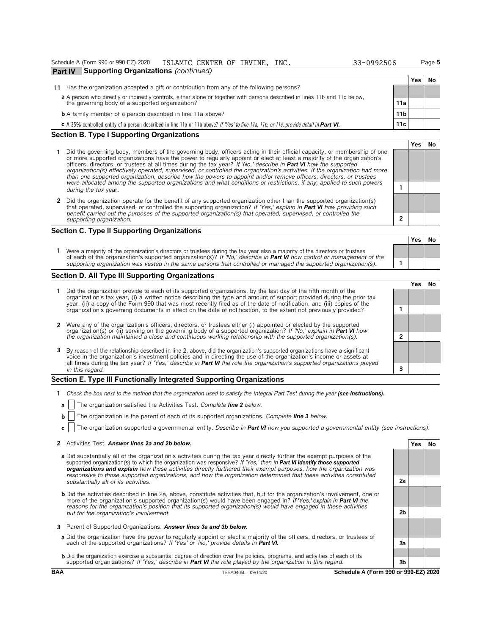### Schedule A (Form 990 or 990-EZ) 2020 ISLAMIC CENTER OF IRVINE, INC. 33-0992506 Page **5 Part IV Supporting Organizations** *(continued)*

- **11** Has the organization accepted a gift or contribution from any of the following persons?
	- **a** A person who directly or indirectly controls, either alone or together with persons described in lines 11b and 11c below, the governing body of a supported organization? **11a**
	- **b** A family member of a person described in line 11a above? **11b 11b 11b 11b 11b 11b 11b 11b 11b 11b 11b 11b 11b 11b 11b 11b 11b 11b 11b 11b 11b 11b 11b 11b 11b 11b 11b**
	- **c** A 35% controlled entity of a person described in line 11a or 11b above? *If 'Yes' to line 11a, 11b, or 11c, provide detail in Part VI.* **11c**

### **Section B. Type I Supporting Organizations**

- **1** Did the governing body, members of the governing body, officers acting in their official capacity, or membership of one or more supported organizations have the power to regularly appoint or elect at least a majority of the organization's<br>officers, directors, or trustees at all times during the tax year? *If 'No,' describe in Part VI how organization(s) effectively operated, supervised, or controlled the organization's activities. If the organization had more than one supported organization, describe how the powers to appoint and/or remove officers, directors, or trustees were allocated among the supported organizations and what conditions or restrictions, if any, applied to such powers* **<sup>1</sup>** *during the tax* year.
- **2** Did the organization operate for the benefit of any supported organization other than the supported organization(s) that operated, supervised, or controlled the supporting organization? If 'Yes,' explain in **Part VI** h that operated, supervised, or controlled the supporting organization? If 'Ye. *benefit carried out the purposes of the supported organization(s) that operation*, and the *purposes of the supportential that* operation. *supporting organization.* **2**

### **Section C. Type II Supporting Organizations**

1 Were a majority of the organization's directors or trustees during the tax year also a majority of the directors or trustees<br>of each of the organization's supported organization(s)? If 'No,' describe in Part VI how contr *supporting organization was vested in the same persons that controlled or managed the supported organization(s).* **1**

### **Section D. All Type III Supporting Organizations**

- **1** Did the organization provide to each of its supported organizations, by the last day of the fifth month of the organization's tax year, (i) a written notice describing the type and amount of support provided during the prior tax year, (ii) a copy of the Form 990 that was most recently filed as of the date of notification, and (iii) copies of the organization's governing documents in effect on the date of notification, to the extent not previously provided? **1**
- 2 Were any of the organization's officers, directors, or trustees either (i) appointed or elected by the supported<br>organization(s) or (ii) serving on the governing body of a supported organization? If 'No,' explain in Part
- **3** By reason of the relationship described in line 2, above, did the organization's supported organizations have a significant voice in the organization's investment policies and in directing the use of the organization's income or assets at all times during the tax year? *If 'Yes,' describe in Part VI the role the organization's supported organizations played in this regard.* **3**

### **Section E. Type III Functionally Integrated Supporting Organizations**

- **1** *Check the box next to the method that the organization used to satisfy the Integral Part Test during the year (see instructions).*
	- **a** The organization satisfied the Activities Test. *Complete line 2 below.*
	- **b** The organization is the parent of each of its supported organizations. *Complete line 3 below.*
	- **c** The organization supported a governmental entity. *Describe in Part VI how you supported a governmental entity (see instructions).*
- **2** Activities Test. **Answer lines 2a and 2b below.**
- **a** Did substantially all of the organization's activities during the tax year directly further the exempt purposes of the supported organization(s) to which the organization was responsive? *If 'Yes,' then in Part VI identify those supported organizations and explain how these activities directly furthered their exempt purposes, how the organization was responsive to those supported organizations, and how the organization determined that these activities constituted substantially all of its activities.* **2a**
- **b** Did the activities described in line 2a, above, constitute activities that, but for the organization's involvement, one or more of the organization's supported organization(s) would have been engaged in? I**f 'Yes,' explain in Part VI** the<br>reasons for the organization's position that its supported organization(s) would have engaged in these act *but for the organization's involvement.* **2b**
- **3** Parent of Supported Organizations. *Answer lines 3a and 3b below.*
- a Did the organization have the power to regularly appoint or elect a majority of the officers, directors, or trustees of<br>each of the supported organizations? If 'Yes' or 'No,' provide details in Part VI.
- **b** Did the organization exercise a substantial degree of direction over the policies, programs, and activities of each of its supported organizations? *If 'Yes,' describe in Part VI the role played by the organization in this regard.* **3b**

**BAA** TEEA0405L 09/14/20 **Schedule A (Form 990 or 990-EZ) 2020**

|                | Yes | No |
|----------------|-----|----|
|                |     |    |
|                |     |    |
|                |     |    |
| 2a             |     |    |
|                |     |    |
|                |     |    |
| 2 <sub>b</sub> |     |    |
|                |     |    |
|                |     |    |
| 3a             |     |    |
|                |     |    |

| other than the supported organizatio<br>s,' explain in <b>Part VI</b> how providing s<br>ated, supervised, or controlled the                                                                                                                                                       |
|------------------------------------------------------------------------------------------------------------------------------------------------------------------------------------------------------------------------------------------------------------------------------------|
|                                                                                                                                                                                                                                                                                    |
| o a majority of the directors or trustees<br>$\blacksquare$ , and the set of the set of the set of the set of the set of the set of the set of the set of the set of the set of the set of the set of the set of the set of the set of the set of the set of the set of the set of |

|                | Yes No |  |
|----------------|--------|--|
|                |        |  |
| 1              |        |  |
|                |        |  |
| $\overline{2}$ |        |  |
|                |        |  |
|                |        |  |
| 3              |        |  |
|                |        |  |

|   | Yes I | No |
|---|-------|----|
|   |       |    |
|   |       |    |
|   |       |    |
|   |       |    |
| 1 |       |    |
|   |       |    |
|   |       |    |
| 2 |       |    |
|   |       |    |

**Yes No**

|  | <u>JJ UJJ</u> |
|--|---------------|
|  |               |
|  |               |

**Yes No**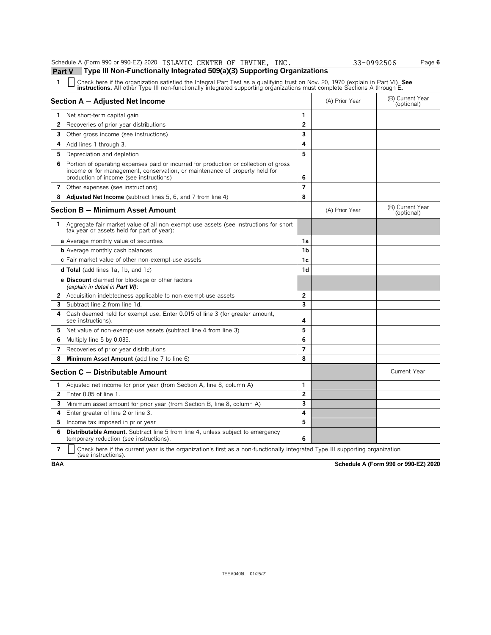|                | Schedule A (Form 990 or 990-EZ) 2020 ISLAMIC CENTER OF IRVINE, INC.                                                                                                                                                                                                  |                          |                | 33-0992506 | Page 6                         |
|----------------|----------------------------------------------------------------------------------------------------------------------------------------------------------------------------------------------------------------------------------------------------------------------|--------------------------|----------------|------------|--------------------------------|
| Part V         | Type III Non-Functionally Integrated 509(a)(3) Supporting Organizations                                                                                                                                                                                              |                          |                |            |                                |
| 1              | Check here if the organization satisfied the Integral Part Test as a qualifying trust on Nov. 20, 1970 (explain in Part VI). See<br><b>instructions.</b> All other Type III non-functionally integrated supporting organizations must complete Sections A through E. |                          |                |            |                                |
|                | Section A - Adjusted Net Income                                                                                                                                                                                                                                      |                          | (A) Prior Year |            | (B) Current Year<br>(optional) |
| 1              | Net short-term capital gain                                                                                                                                                                                                                                          | 1                        |                |            |                                |
| 2              | Recoveries of prior-year distributions                                                                                                                                                                                                                               | $\overline{2}$           |                |            |                                |
| 3              | Other gross income (see instructions)                                                                                                                                                                                                                                | 3                        |                |            |                                |
| 4              | Add lines 1 through 3.                                                                                                                                                                                                                                               | 4                        |                |            |                                |
| 5              | Depreciation and depletion                                                                                                                                                                                                                                           | 5                        |                |            |                                |
|                | 6 Portion of operating expenses paid or incurred for production or collection of gross<br>income or for management, conservation, or maintenance of property held for<br>production of income (see instructions)                                                     | 6                        |                |            |                                |
|                | 7 Other expenses (see instructions)                                                                                                                                                                                                                                  | $\overline{\phantom{a}}$ |                |            |                                |
| 8              | Adjusted Net Income (subtract lines 5, 6, and 7 from line 4)                                                                                                                                                                                                         | 8                        |                |            |                                |
|                | <b>Section B - Minimum Asset Amount</b>                                                                                                                                                                                                                              |                          | (A) Prior Year |            | (B) Current Year<br>(optional) |
| 1              | Aggregate fair market value of all non-exempt-use assets (see instructions for short<br>tax year or assets held for part of year):                                                                                                                                   |                          |                |            |                                |
|                | a Average monthly value of securities                                                                                                                                                                                                                                | 1a                       |                |            |                                |
|                | <b>b</b> Average monthly cash balances                                                                                                                                                                                                                               | 1 <sub>b</sub>           |                |            |                                |
|                | c Fair market value of other non-exempt-use assets                                                                                                                                                                                                                   | 1 <sub>c</sub>           |                |            |                                |
|                | <b>d Total</b> (add lines 1a, 1b, and 1c)                                                                                                                                                                                                                            | 1 <sub>d</sub>           |                |            |                                |
|                | <b>e Discount</b> claimed for blockage or other factors<br>(explain in detail in Part VI):                                                                                                                                                                           |                          |                |            |                                |
|                | 2 Acquisition indebtedness applicable to non-exempt-use assets                                                                                                                                                                                                       | 2                        |                |            |                                |
| 3              | Subtract line 2 from line 1d.                                                                                                                                                                                                                                        | $\overline{\mathbf{3}}$  |                |            |                                |
| 4              | Cash deemed held for exempt use. Enter 0.015 of line 3 (for greater amount,<br>see instructions).                                                                                                                                                                    | 4                        |                |            |                                |
| 5              | Net value of non-exempt-use assets (subtract line 4 from line 3)                                                                                                                                                                                                     | 5                        |                |            |                                |
| 6              | Multiply line 5 by 0.035.                                                                                                                                                                                                                                            | 6                        |                |            |                                |
| 7              | Recoveries of prior-year distributions                                                                                                                                                                                                                               | $\overline{7}$           |                |            |                                |
| 8              | Minimum Asset Amount (add line 7 to line 6)                                                                                                                                                                                                                          | 8                        |                |            |                                |
|                | Section C - Distributable Amount                                                                                                                                                                                                                                     |                          |                |            | <b>Current Year</b>            |
| 1.             | Adjusted net income for prior year (from Section A, line 8, column A)                                                                                                                                                                                                | 1                        |                |            |                                |
| 2              | Enter 0.85 of line 1.                                                                                                                                                                                                                                                | $\overline{2}$           |                |            |                                |
|                | 3 Minimum asset amount for prior year (from Section B, line 8, column A)                                                                                                                                                                                             | 3                        |                |            |                                |
| 4              | Enter greater of line 2 or line 3.                                                                                                                                                                                                                                   | 4                        |                |            |                                |
| 5              | Income tax imposed in prior year                                                                                                                                                                                                                                     | 5                        |                |            |                                |
| 6              | Distributable Amount. Subtract line 5 from line 4, unless subject to emergency<br>temporary reduction (see instructions).                                                                                                                                            | 6                        |                |            |                                |
| $\overline{7}$ | Check here if the current year is the organization's first as a non-functionally integrated Type III supporting organization<br>(see instructions).                                                                                                                  |                          |                |            |                                |

**BAA Schedule A (Form 990 or 990-EZ) 2020**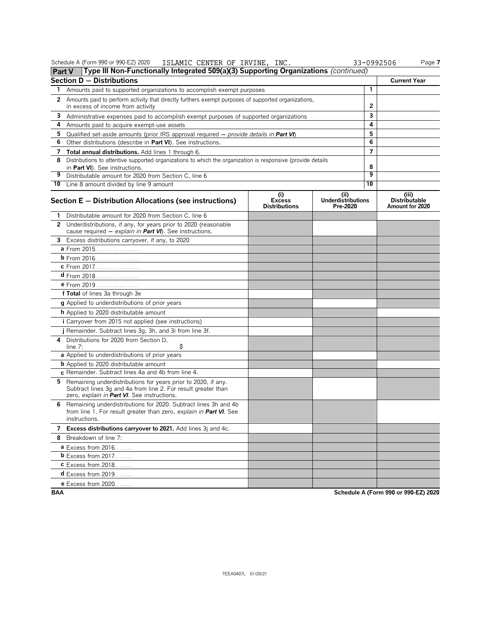|            | Schedule A (Form 990 or 990-EZ) 2020<br>ISLAMIC CENTER OF IRVINE, INC.                                                                                                        |                                              |                                               | 33-0992506     | Page 7                                           |
|------------|-------------------------------------------------------------------------------------------------------------------------------------------------------------------------------|----------------------------------------------|-----------------------------------------------|----------------|--------------------------------------------------|
|            | Type III Non-Functionally Integrated 509(a)(3) Supporting Organizations (continued)<br><b>Part V</b>                                                                          |                                              |                                               |                |                                                  |
|            | <b>Section D - Distributions</b>                                                                                                                                              |                                              |                                               |                | <b>Current Year</b>                              |
| 1.         | Amounts paid to supported organizations to accomplish exempt purposes                                                                                                         |                                              |                                               | 1              |                                                  |
|            | 2 Amounts paid to perform activity that directly furthers exempt purposes of supported organizations,<br>in excess of income from activity                                    | 2                                            |                                               |                |                                                  |
| 3          | Administrative expenses paid to accomplish exempt purposes of supported organizations                                                                                         |                                              |                                               | 3              |                                                  |
| 4          | Amounts paid to acquire exempt-use assets                                                                                                                                     |                                              |                                               | 4              |                                                  |
| 5.         | Qualified set-aside amounts (prior IRS approval required - provide details in Part VI)                                                                                        |                                              |                                               | 5              |                                                  |
| 6          | Other distributions (describe in Part VI). See instructions.                                                                                                                  |                                              |                                               | 6              |                                                  |
| 7          | Total annual distributions. Add lines 1 through 6.                                                                                                                            |                                              |                                               | $\overline{7}$ |                                                  |
|            | 8 Distributions to attentive supported organizations to which the organization is responsive (provide details                                                                 |                                              |                                               |                |                                                  |
|            | in Part VI). See instructions.                                                                                                                                                |                                              |                                               | 8              |                                                  |
| 9          | Distributable amount for 2020 from Section C, line 6                                                                                                                          |                                              |                                               | 9              |                                                  |
|            | 10 Line 8 amount divided by line 9 amount                                                                                                                                     |                                              |                                               | 10             |                                                  |
|            | Section E - Distribution Allocations (see instructions)                                                                                                                       | (i)<br><b>Excess</b><br><b>Distributions</b> | (ii)<br><b>Underdistributions</b><br>Pre-2020 |                | (iii)<br><b>Distributable</b><br>Amount for 2020 |
| 1          | Distributable amount for 2020 from Section C, line 6                                                                                                                          |                                              |                                               |                |                                                  |
|            | 2 Underdistributions, if any, for years prior to 2020 (reasonable<br>cause required $-$ explain in Part VI). See instructions.                                                |                                              |                                               |                |                                                  |
|            | 3 Excess distributions carryover, if any, to 2020                                                                                                                             |                                              |                                               |                |                                                  |
|            | a From 2015                                                                                                                                                                   |                                              |                                               |                |                                                  |
|            | <b>b</b> From 2016 <u>.</u>                                                                                                                                                   |                                              |                                               |                |                                                  |
|            | C From 2017.                                                                                                                                                                  |                                              |                                               |                |                                                  |
|            | $d$ From 2018                                                                                                                                                                 |                                              |                                               |                |                                                  |
|            | e From 2019                                                                                                                                                                   |                                              |                                               |                |                                                  |
|            | f Total of lines 3a through 3e                                                                                                                                                |                                              |                                               |                |                                                  |
|            | g Applied to underdistributions of prior years                                                                                                                                |                                              |                                               |                |                                                  |
|            | <b>h</b> Applied to 2020 distributable amount                                                                                                                                 |                                              |                                               |                |                                                  |
|            | <i>i</i> Carryover from 2015 not applied (see instructions)                                                                                                                   |                                              |                                               |                |                                                  |
|            | j Remainder. Subtract lines 3g, 3h, and 3i from line 3f.                                                                                                                      |                                              |                                               |                |                                                  |
|            | 4 Distributions for 2020 from Section D,<br>\$<br>line 7:                                                                                                                     |                                              |                                               |                |                                                  |
|            | a Applied to underdistributions of prior years                                                                                                                                |                                              |                                               |                |                                                  |
|            | <b>b</b> Applied to 2020 distributable amount                                                                                                                                 |                                              |                                               |                |                                                  |
|            | c Remainder. Subtract lines 4a and 4b from line 4.                                                                                                                            |                                              |                                               |                |                                                  |
| 5.         | Remaining underdistributions for years prior to 2020, if any.<br>Subtract lines 3q and 4a from line 2. For result greater than<br>zero, explain in Part VI. See instructions. |                                              |                                               |                |                                                  |
| 6          | Remaining underdistributions for 2020. Subtract lines 3h and 4b<br>from line 1. For result greater than zero, explain in <b>Part VI</b> . See<br>instructions.                |                                              |                                               |                |                                                  |
|            | 7 Excess distributions carryover to 2021. Add lines 3j and 4c.                                                                                                                |                                              |                                               |                |                                                  |
|            | 8 Breakdown of line 7:                                                                                                                                                        |                                              |                                               |                |                                                  |
|            | <b>a</b> Excess from 2016                                                                                                                                                     |                                              |                                               |                |                                                  |
|            | <b>b</b> Excess from $2017$                                                                                                                                                   |                                              |                                               |                |                                                  |
|            | $c$ Excess from 2018                                                                                                                                                          |                                              |                                               |                |                                                  |
|            | <b>d</b> Excess from $2019$                                                                                                                                                   |                                              |                                               |                |                                                  |
|            | <b>e</b> Excess from 2020                                                                                                                                                     |                                              |                                               |                |                                                  |
| <b>BAA</b> |                                                                                                                                                                               |                                              |                                               |                | Schedule A (Form 990 or 990-EZ) 2020             |